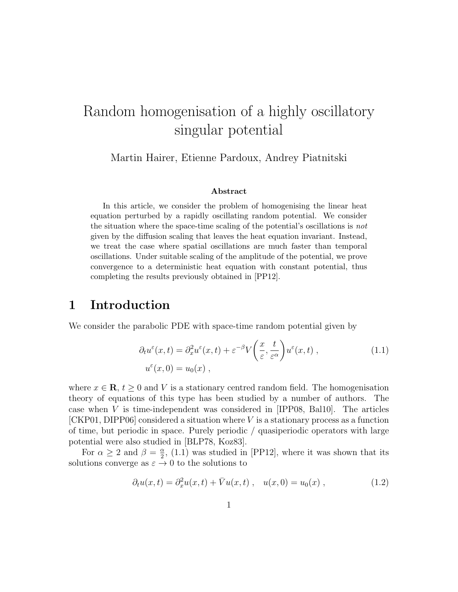# Random homogenisation of a highly oscillatory singular potential

Martin Hairer, Etienne Pardoux, Andrey Piatnitski

#### Abstract

In this article, we consider the problem of homogenising the linear heat equation perturbed by a rapidly oscillating random potential. We consider the situation where the space-time scaling of the potential's oscillations is not given by the diffusion scaling that leaves the heat equation invariant. Instead, we treat the case where spatial oscillations are much faster than temporal oscillations. Under suitable scaling of the amplitude of the potential, we prove convergence to a deterministic heat equation with constant potential, thus completing the results previously obtained in [PP12].

# 1 Introduction

We consider the parabolic PDE with space-time random potential given by

$$
\partial_t u^{\varepsilon}(x,t) = \partial_x^2 u^{\varepsilon}(x,t) + \varepsilon^{-\beta} V\left(\frac{x}{\varepsilon}, \frac{t}{\varepsilon^{\alpha}}\right) u^{\varepsilon}(x,t) ,\qquad (1.1)
$$

$$
u^{\varepsilon}(x,0) = u_0(x) ,
$$

where  $x \in \mathbf{R}$ ,  $t \geq 0$  and V is a stationary centred random field. The homogenisation theory of equations of this type has been studied by a number of authors. The case when V is time-independent was considered in [IPP08, Bal10]. The articles  $[CKP01, DIPP06]$  considered a situation where V is a stationary process as a function of time, but periodic in space. Purely periodic / quasiperiodic operators with large potential were also studied in [BLP78, Koz83].

For  $\alpha \geq 2$  and  $\beta = \frac{\alpha}{2}$  $\frac{\alpha}{2}$ , (1.1) was studied in [PP12], where it was shown that its solutions converge as  $\varepsilon \to 0$  to the solutions to

$$
\partial_t u(x,t) = \partial_x^2 u(x,t) + \bar{V}u(x,t) , \quad u(x,0) = u_0(x) , \qquad (1.2)
$$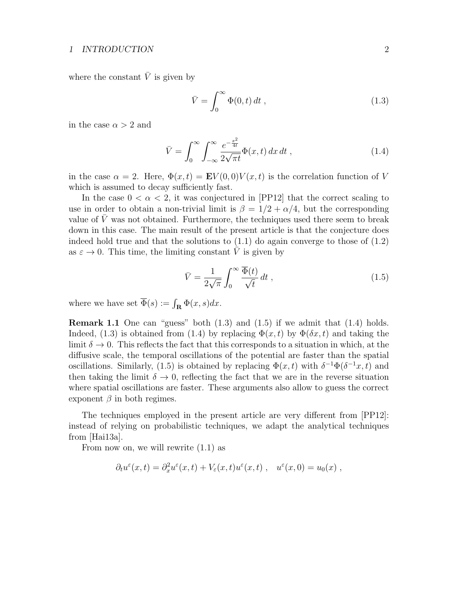#### 1 INTRODUCTION 2

where the constant  $\overline{V}$  is given by

$$
\bar{V} = \int_0^\infty \Phi(0, t) dt , \qquad (1.3)
$$

in the case  $\alpha > 2$  and

$$
\bar{V} = \int_0^\infty \int_{-\infty}^\infty \frac{e^{-\frac{x^2}{4t}}}{2\sqrt{\pi t}} \Phi(x, t) dx dt , \qquad (1.4)
$$

in the case  $\alpha = 2$ . Here,  $\Phi(x, t) = \mathbf{E} V(0, 0) V(x, t)$  is the correlation function of V which is assumed to decay sufficiently fast.

In the case  $0 < \alpha < 2$ , it was conjectured in [PP12] that the correct scaling to use in order to obtain a non-trivial limit is  $\beta = 1/2 + \alpha/4$ , but the corresponding value of  $V$  was not obtained. Furthermore, the techniques used there seem to break down in this case. The main result of the present article is that the conjecture does indeed hold true and that the solutions to  $(1.1)$  do again converge to those of  $(1.2)$ as  $\varepsilon \to 0$ . This time, the limiting constant  $\overline{V}$  is given by

$$
\bar{V} = \frac{1}{2\sqrt{\pi}} \int_0^\infty \frac{\overline{\Phi}(t)}{\sqrt{t}} dt , \qquad (1.5)
$$

where we have set  $\overline{\Phi}(s) := \int_{\mathbf{R}} \Phi(x, s) dx$ .

**Remark 1.1** One can "guess" both  $(1.3)$  and  $(1.5)$  if we admit that  $(1.4)$  holds. Indeed, (1.3) is obtained from (1.4) by replacing  $\Phi(x,t)$  by  $\Phi(\delta x,t)$  and taking the limit  $\delta \to 0$ . This reflects the fact that this corresponds to a situation in which, at the diffusive scale, the temporal oscillations of the potential are faster than the spatial oscillations. Similarly, (1.5) is obtained by replacing  $\Phi(x, t)$  with  $\delta^{-1}\Phi(\delta^{-1}x, t)$  and then taking the limit  $\delta \to 0$ , reflecting the fact that we are in the reverse situation where spatial oscillations are faster. These arguments also allow to guess the correct exponent  $\beta$  in both regimes.

The techniques employed in the present article are very different from [PP12]: instead of relying on probabilistic techniques, we adapt the analytical techniques from [Hai13a].

From now on, we will rewrite (1.1) as

$$
\partial_t u^{\varepsilon}(x,t) = \partial_x^2 u^{\varepsilon}(x,t) + V_{\varepsilon}(x,t) u^{\varepsilon}(x,t) , \quad u^{\varepsilon}(x,0) = u_0(x) ,
$$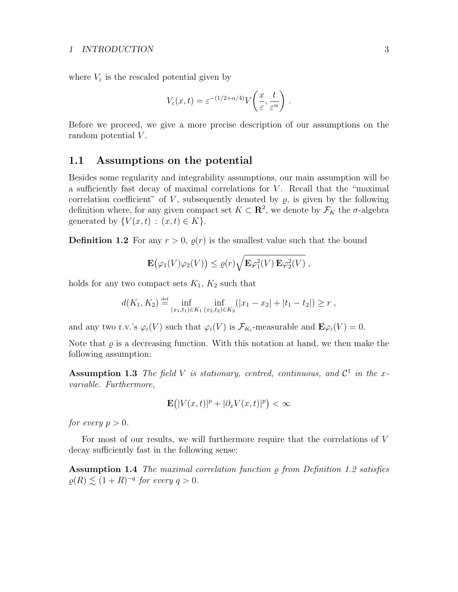where  $V_{\varepsilon}$  is the rescaled potential given by

$$
V_{\varepsilon}(x,t) = \varepsilon^{-(1/2+\alpha/4)} V\left(\frac{x}{\varepsilon}, \frac{t}{\varepsilon^{\alpha}}\right).
$$

Before we proceed, we give a more precise description of our assumptions on the random potential V.

#### 1.1 Assumptions on the potential

Besides some regularity and integrability assumptions, our main assumption will be a sufficiently fast decay of maximal correlations for  $V$ . Recall that the "maximal" correlation coefficient" of V, subsequently denoted by  $\rho$ , is given by the following definition where, for any given compact set  $K \subset \mathbb{R}^2$ , we denote by  $\mathcal{F}_K$  the  $\sigma$ -algebra generated by  $\{V(x,t) : (x,t) \in K\}.$ 

**Definition 1.2** For any  $r > 0$ ,  $\rho(r)$  is the smallest value such that the bound

$$
\mathbf{E}(\varphi_1(V)\varphi_2(V)) \leq \varrho(r)\sqrt{\mathbf{E}\varphi_1^2(V)\,\mathbf{E}\varphi_2^2(V)}\,,
$$

holds for any two compact sets  $K_1$ ,  $K_2$  such that

$$
d(K_1, K_2) \stackrel{\text{def}}{=} \inf_{(x_1, t_1) \in K_1} \inf_{(x_2, t_2) \in K_2} (|x_1 - x_2| + |t_1 - t_2|) \ge r,
$$

and any two r.v.'s  $\varphi_i(V)$  such that  $\varphi_i(V)$  is  $\mathcal{F}_{K_i}$ -measurable and  $\mathbf{E}\varphi_i(V) = 0$ .

Note that  $\varrho$  is a decreasing function. With this notation at hand, we then make the following assumption:

**Assumption 1.3** The field V is stationary, centred, continuous, and  $\mathcal{C}^1$  in the xvariable. Furthermore,

$$
\mathbf{E}\big(|V(x,t)|^p+|\partial_x V(x,t)|^p\big)<\infty
$$

for every  $p > 0$ .

For most of our results, we will furthermore require that the correlations of V decay sufficiently fast in the following sense:

**Assumption 1.4** The maximal correlation function  $\rho$  from Definition 1.2 satisfies  $\rho(R) \lesssim (1+R)^{-q}$  for every  $q > 0$ .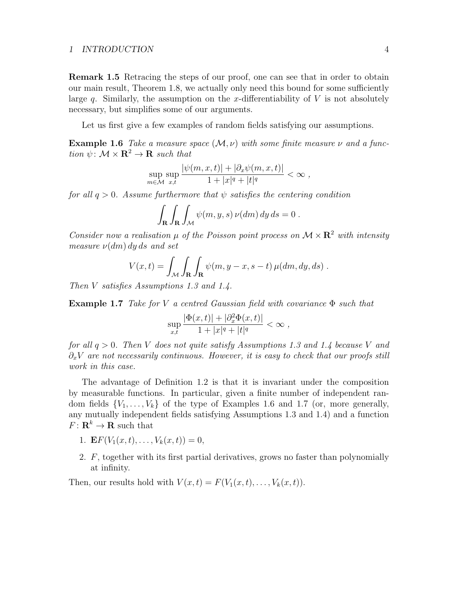#### 1 INTRODUCTION 4

Remark 1.5 Retracing the steps of our proof, one can see that in order to obtain our main result, Theorem 1.8, we actually only need this bound for some sufficiently large q. Similarly, the assumption on the x-differentiability of  $V$  is not absolutely necessary, but simplifies some of our arguments.

Let us first give a few examples of random fields satisfying our assumptions.

**Example 1.6** Take a measure space  $(M, \nu)$  with some finite measure  $\nu$  and a function  $\psi \colon \mathcal{M} \times \mathbf{R}^2 \to \mathbf{R}$  such that

$$
\sup_{m\in\mathcal{M}}\sup_{x,t}\frac{|\psi(m,x,t)|+|\partial_x\psi(m,x,t)|}{1+|x|^q+|t|^q}<\infty,
$$

for all  $q > 0$ . Assume furthermore that  $\psi$  satisfies the centering condition

$$
\int_{\mathbf{R}} \int_{\mathbf{R}} \int_{\mathcal{M}} \psi(m, y, s) \nu(dm) dy ds = 0.
$$

Consider now a realisation  $\mu$  of the Poisson point process on  $\mathcal{M} \times \mathbb{R}^2$  with intensity measure  $\nu(dm) dy ds$  and set

$$
V(x,t) = \int_{\mathcal{M}} \int_{\mathbf{R}} \int_{\mathbf{R}} \psi(m, y - x, s - t) \,\mu(dm, dy, ds) .
$$

Then V satisfies Assumptions 1.3 and 1.4.

**Example 1.7** Take for V a centred Gaussian field with covariance  $\Phi$  such that

$$
\sup_{x,t} \frac{|\Phi(x,t)| + |\partial_x^2 \Phi(x,t)|}{1 + |x|^q + |t|^q} < \infty ,
$$

for all  $q > 0$ . Then V does not quite satisfy Assumptions 1.3 and 1.4 because V and  $\partial_x V$  are not necessarily continuous. However, it is easy to check that our proofs still work in this case.

The advantage of Definition 1.2 is that it is invariant under the composition by measurable functions. In particular, given a finite number of independent random fields  $\{V_1, \ldots, V_k\}$  of the type of Examples 1.6 and 1.7 (or, more generally, any mutually independent fields satisfying Assumptions 1.3 and 1.4) and a function  $F: \mathbf{R}^k \to \mathbf{R}$  such that

- 1. **E** $F(V_1(x,t), \ldots, V_k(x,t)) = 0$ ,
- 2. F, together with its first partial derivatives, grows no faster than polynomially at infinity.

Then, our results hold with  $V(x,t) = F(V_1(x,t), \ldots, V_k(x,t)).$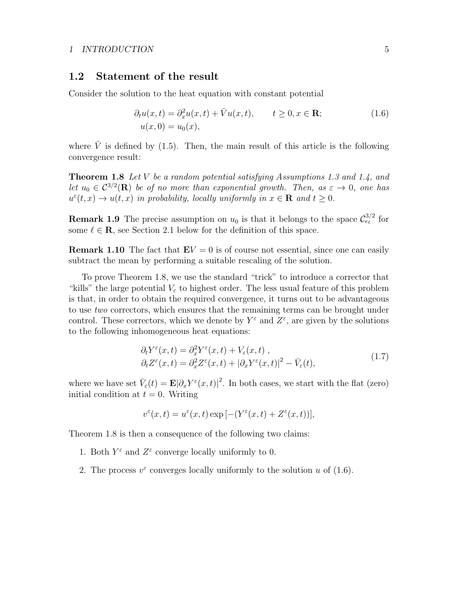## 1.2 Statement of the result

Consider the solution to the heat equation with constant potential

$$
\partial_t u(x,t) = \partial_x^2 u(x,t) + \overline{V}u(x,t), \qquad t \ge 0, x \in \mathbf{R};
$$
  
\n
$$
u(x,0) = u_0(x), \qquad t \ge 0, x \in \mathbf{R};
$$
\n(1.6)

where  $\overline{V}$  is defined by (1.5). Then, the main result of this article is the following convergence result:

**Theorem 1.8** Let V be a random potential satisfying Assumptions 1.3 and 1.4, and let  $u_0 \in C^{3/2}(\mathbf{R})$  be of no more than exponential growth. Then, as  $\varepsilon \to 0$ , one has  $u^{\varepsilon}(t,x) \to u(t,x)$  in probability, locally uniformly in  $x \in \mathbf{R}$  and  $t \geq 0$ .

**Remark 1.9** The precise assumption on  $u_0$  is that it belongs to the space  $\mathcal{C}_{e_\ell}^{3/2}$  for some  $\ell \in \mathbb{R}$ , see Section 2.1 below for the definition of this space.

**Remark 1.10** The fact that  $\mathbf{E}V = 0$  is of course not essential, since one can easily subtract the mean by performing a suitable rescaling of the solution.

To prove Theorem 1.8, we use the standard "trick" to introduce a corrector that "kills" the large potential  $V_{\varepsilon}$  to highest order. The less usual feature of this problem is that, in order to obtain the required convergence, it turns out to be advantageous to use two correctors, which ensures that the remaining terms can be brought under control. These correctors, which we denote by  $Y^{\varepsilon}$  and  $Z^{\varepsilon}$ , are given by the solutions to the following inhomogeneous heat equations:

$$
\partial_t Y^{\varepsilon}(x,t) = \partial_x^2 Y^{\varepsilon}(x,t) + V_{\varepsilon}(x,t) ,
$$
  
\n
$$
\partial_t Z^{\varepsilon}(x,t) = \partial_x^2 Z^{\varepsilon}(x,t) + |\partial_x Y^{\varepsilon}(x,t)|^2 - \bar{V}_{\varepsilon}(t),
$$
\n(1.7)

where we have set  $\bar{V}_{\varepsilon}(t) = \mathbf{E} |\partial_x Y^{\varepsilon}(x,t)|^2$ . In both cases, we start with the flat (zero) initial condition at  $t = 0$ . Writing

$$
v^{\varepsilon}(x,t) = u^{\varepsilon}(x,t) \exp[-(Y^{\varepsilon}(x,t) + Z^{\varepsilon}(x,t))],
$$

Theorem 1.8 is then a consequence of the following two claims:

- 1. Both  $Y^{\varepsilon}$  and  $Z^{\varepsilon}$  converge locally uniformly to 0.
- 2. The process  $v^{\varepsilon}$  converges locally uniformly to the solution u of (1.6).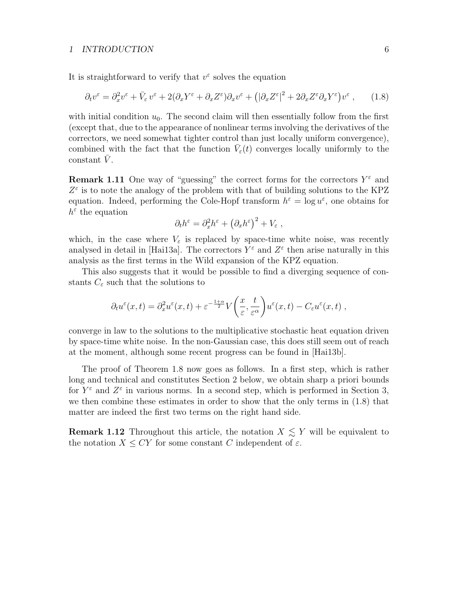It is straightforward to verify that  $v^{\varepsilon}$  solves the equation

$$
\partial_t v^{\varepsilon} = \partial_x^2 v^{\varepsilon} + \bar{V}_{\varepsilon} v^{\varepsilon} + 2(\partial_x Y^{\varepsilon} + \partial_x Z^{\varepsilon}) \partial_x v^{\varepsilon} + (|\partial_x Z^{\varepsilon}|^2 + 2\partial_x Z^{\varepsilon} \partial_x Y^{\varepsilon}) v^{\varepsilon} , \qquad (1.8)
$$

with initial condition  $u_0$ . The second claim will then essentially follow from the first (except that, due to the appearance of nonlinear terms involving the derivatives of the correctors, we need somewhat tighter control than just locally uniform convergence), combined with the fact that the function  $\bar{V}_{\varepsilon}(t)$  converges locally uniformly to the constant  $\bar{V}$ .

**Remark 1.11** One way of "guessing" the correct forms for the correctors  $Y^{\varepsilon}$  and  $Z^{\varepsilon}$  is to note the analogy of the problem with that of building solutions to the KPZ equation. Indeed, performing the Cole-Hopf transform  $h^{\varepsilon} = \log u^{\varepsilon}$ , one obtains for  $h^{\varepsilon}$  the equation

$$
\partial_t h^{\varepsilon} = \partial_x^2 h^{\varepsilon} + \left(\partial_x h^{\varepsilon}\right)^2 + V_{\varepsilon} ,
$$

which, in the case where  $V_{\varepsilon}$  is replaced by space-time white noise, was recently analysed in detail in [Hai13a]. The correctors  $Y^{\varepsilon}$  and  $Z^{\varepsilon}$  then arise naturally in this analysis as the first terms in the Wild expansion of the KPZ equation.

This also suggests that it would be possible to find a diverging sequence of constants  $C_{\varepsilon}$  such that the solutions to

$$
\partial_t u^{\varepsilon}(x,t) = \partial_x^2 u^{\varepsilon}(x,t) + \varepsilon^{-\frac{1+\alpha}{2}} V\left(\frac{x}{\varepsilon}, \frac{t}{\varepsilon^{\alpha}}\right) u^{\varepsilon}(x,t) - C_{\varepsilon} u^{\varepsilon}(x,t) ,
$$

converge in law to the solutions to the multiplicative stochastic heat equation driven by space-time white noise. In the non-Gaussian case, this does still seem out of reach at the moment, although some recent progress can be found in [Hai13b].

The proof of Theorem 1.8 now goes as follows. In a first step, which is rather long and technical and constitutes Section 2 below, we obtain sharp a priori bounds for  $Y^{\varepsilon}$  and  $Z^{\varepsilon}$  in various norms. In a second step, which is performed in Section 3, we then combine these estimates in order to show that the only terms in (1.8) that matter are indeed the first two terms on the right hand side.

**Remark 1.12** Throughout this article, the notation  $X \leq Y$  will be equivalent to the notation  $X \leq CY$  for some constant C independent of  $\varepsilon$ .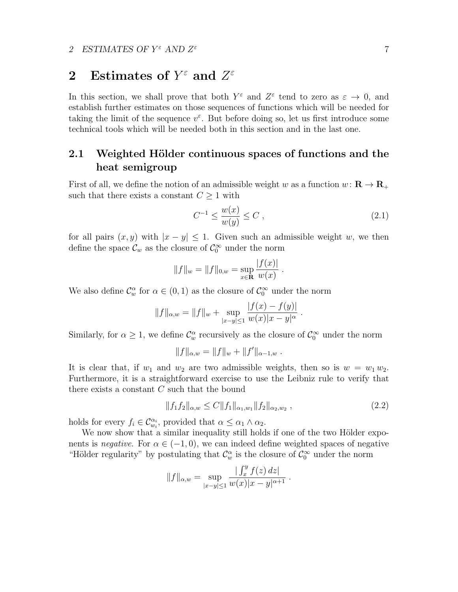# 2 Estimates of  $Y^{\varepsilon}$  and  $Z^{\varepsilon}$

In this section, we shall prove that both  $Y^{\varepsilon}$  and  $Z^{\varepsilon}$  tend to zero as  $\varepsilon \to 0$ , and establish further estimates on those sequences of functions which will be needed for taking the limit of the sequence  $v^{\varepsilon}$ . But before doing so, let us first introduce some technical tools which will be needed both in this section and in the last one.

## 2.1 Weighted Hölder continuous spaces of functions and the heat semigroup

First of all, we define the notion of an admissible weight w as a function  $w: \mathbf{R} \to \mathbf{R}_+$ such that there exists a constant  $C \geq 1$  with

$$
C^{-1} \le \frac{w(x)}{w(y)} \le C \tag{2.1}
$$

for all pairs  $(x, y)$  with  $|x - y| \leq 1$ . Given such an admissible weight w, we then define the space  $\mathcal{C}_w$  as the closure of  $\mathcal{C}_0^{\infty}$  under the norm

$$
||f||_w = ||f||_{0,w} = \sup_{x \in \mathbf{R}} \frac{|f(x)|}{w(x)}.
$$

We also define  $\mathcal{C}_w^{\alpha}$  for  $\alpha \in (0,1)$  as the closure of  $\mathcal{C}_0^{\infty}$  under the norm

$$
||f||_{\alpha,w} = ||f||_w + \sup_{|x-y| \le 1} \frac{|f(x) - f(y)|}{w(x)|x - y|^{\alpha}}.
$$

Similarly, for  $\alpha \geq 1$ , we define  $\mathcal{C}_w^{\alpha}$  recursively as the closure of  $\mathcal{C}_0^{\infty}$  under the norm

$$
||f||_{\alpha,w} = ||f||_w + ||f'||_{\alpha-1,w} .
$$

It is clear that, if  $w_1$  and  $w_2$  are two admissible weights, then so is  $w = w_1 w_2$ . Furthermore, it is a straightforward exercise to use the Leibniz rule to verify that there exists a constant  $C$  such that the bound

$$
||f_1 f_2||_{\alpha, w} \le C ||f_1||_{\alpha_1, w_1} ||f_2||_{\alpha_2, w_2}, \qquad (2.2)
$$

holds for every  $f_i \in \mathcal{C}_{w_i}^{\alpha_i}$ , provided that  $\alpha \leq \alpha_1 \wedge \alpha_2$ .

We now show that a similar inequality still holds if one of the two Hölder exponents is *negative*. For  $\alpha \in (-1,0)$ , we can indeed define weighted spaces of negative "Hölder regularity" by postulating that  $\mathcal{C}_w^{\alpha}$  is the closure of  $\mathcal{C}_0^{\infty}$  under the norm

$$
||f||_{\alpha,w} = \sup_{|x-y| \le 1} \frac{| \int_x^y f(z) dz |}{w(x)|x-y|^{\alpha+1}}.
$$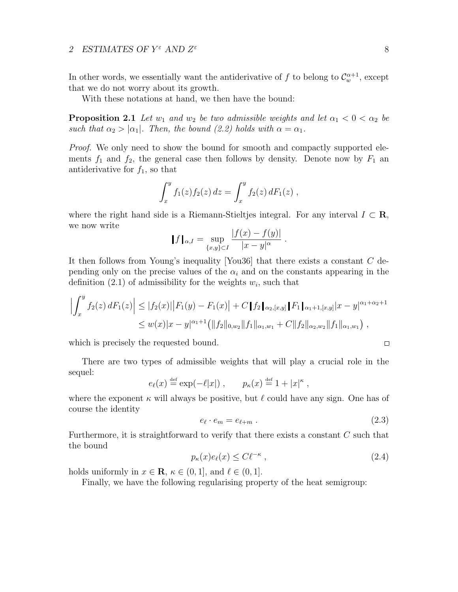In other words, we essentially want the antiderivative of f to belong to  $\mathcal{C}_w^{\alpha+1}$ , except that we do not worry about its growth.

With these notations at hand, we then have the bound:

**Proposition 2.1** Let  $w_1$  and  $w_2$  be two admissible weights and let  $\alpha_1 < 0 < \alpha_2$  be such that  $\alpha_2 > |\alpha_1|$ . Then, the bound (2.2) holds with  $\alpha = \alpha_1$ .

*Proof.* We only need to show the bound for smooth and compactly supported elements  $f_1$  and  $f_2$ , the general case then follows by density. Denote now by  $F_1$  and antiderivative for  $f_1$ , so that

$$
\int_x^y f_1(z) f_2(z) dz = \int_x^y f_2(z) dF_1(z) ,
$$

where the right hand side is a Riemann-Stieltjes integral. For any interval  $I \subset \mathbb{R}$ , we now write

$$
\|f\|_{\alpha,I} = \sup_{\{x,y\} \subset I} \frac{|f(x) - f(y)|}{|x - y|^{\alpha}}.
$$

It then follows from Young's inequality [You36] that there exists a constant C depending only on the precise values of the  $\alpha_i$  and on the constants appearing in the definition  $(2.1)$  of admissibility for the weights  $w_i$ , such that

$$
\left| \int_x^y f_2(z) dF_1(z) \right| \le |f_2(x)| |F_1(y) - F_1(x)| + C \|f_2\|_{\alpha_2, [x,y]} \|F_1\|_{\alpha_1 + 1, [x,y]} |x - y|^{\alpha_1 + \alpha_2 + 1}
$$
  

$$
\le w(x) |x - y|^{\alpha_1 + 1} \left( \|f_2\|_{0, w_2} \|f_1\|_{\alpha_1, w_1} + C \|f_2\|_{\alpha_2, w_2} \|f_1\|_{\alpha_1, w_1} \right),
$$

which is precisely the requested bound.

There are two types of admissible weights that will play a crucial role in the sequel:

$$
e_{\ell}(x) \stackrel{\text{def}}{=} \exp(-\ell|x|) , \qquad p_{\kappa}(x) \stackrel{\text{def}}{=} 1 + |x|^{\kappa} ,
$$

where the exponent  $\kappa$  will always be positive, but  $\ell$  could have any sign. One has of course the identity

$$
e_{\ell} \cdot e_m = e_{\ell+m} \tag{2.3}
$$

Furthermore, it is straightforward to verify that there exists a constant C such that the bound

$$
p_{\kappa}(x)e_{\ell}(x) \leq C\ell^{-\kappa} \tag{2.4}
$$

holds uniformly in  $x \in \mathbf{R}$ ,  $\kappa \in (0, 1]$ , and  $\ell \in (0, 1]$ .

Finally, we have the following regularising property of the heat semigroup:

 $\Box$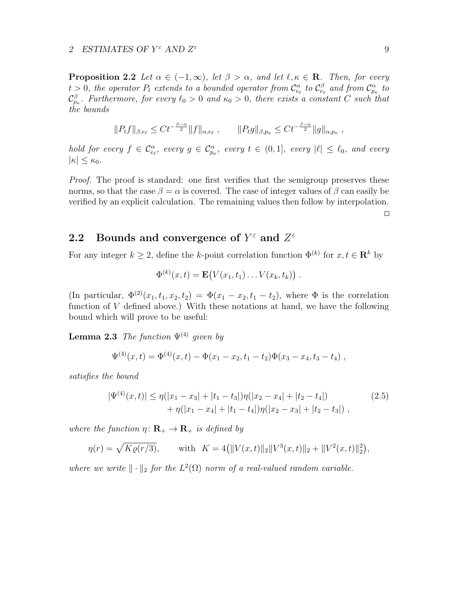**Proposition 2.2** Let  $\alpha \in (-1, \infty)$ , let  $\beta > \alpha$ , and let  $\ell, \kappa \in \mathbb{R}$ . Then, for every  $t > 0$ , the operator  $P_t$  extends to a bounded operator from  $\mathcal{C}^{\alpha}_{e_\ell}$  to  $\mathcal{C}^{\beta}_{e_\ell}$  and from  $\mathcal{C}^{\alpha}_{p_\kappa}$  to  $\mathcal{C}^\beta_{p_\kappa}$ . Furthermore, for every  $\ell_0 > 0$  and  $\kappa_0 > 0$ , there exists a constant C such that the bounds

$$
||P_t f||_{\beta, e_{\ell}} \leq C t^{-\frac{\beta-\alpha}{2}} ||f||_{\alpha, e_{\ell}}, \qquad ||P_t g||_{\beta, p_{\kappa}} \leq C t^{-\frac{\beta-\alpha}{2}} ||g||_{\alpha, p_{\kappa}},
$$

hold for every  $f \in \mathcal{C}^{\alpha}_{e_{\ell}}$ , every  $g \in \mathcal{C}^{\alpha}_{p_{\kappa}}$ , every  $t \in (0,1]$ , every  $|\ell| \leq \ell_0$ , and every  $|\kappa| \leq \kappa_0$ .

Proof. The proof is standard: one first verifies that the semigroup preserves these norms, so that the case  $\beta = \alpha$  is covered. The case of integer values of  $\beta$  can easily be verified by an explicit calculation. The remaining values then follow by interpolation.

 $\Box$ 

# 2.2 Bounds and convergence of  $Y^{\varepsilon}$  and  $Z^{\varepsilon}$

For any integer  $k \geq 2$ , define the k-point correlation function  $\Phi^{(k)}$  for  $x, t \in \mathbb{R}^k$  by

$$
\Phi^{(k)}(x,t) = \mathbf{E}(V(x_1,t_1)\dots V(x_k,t_k)).
$$

(In particular,  $\Phi^{(2)}(x_1, t_1, x_2, t_2) = \Phi(x_1 - x_2, t_1 - t_2)$ , where  $\Phi$  is the correlation function of  $V$  defined above.) With these notations at hand, we have the following bound which will prove to be useful:

**Lemma 2.3** The function  $\Psi^{(4)}$  given by

$$
\Psi^{(4)}(x,t) = \Phi^{(4)}(x,t) - \Phi(x_1 - x_2, t_1 - t_2)\Phi(x_3 - x_4, t_3 - t_4),
$$

satisfies the bound

$$
|\Psi^{(4)}(x,t)| \le \eta(|x_1 - x_3| + |t_1 - t_3|)\eta(|x_2 - x_4| + |t_2 - t_4|) + \eta(|x_1 - x_4| + |t_1 - t_4|)\eta(|x_2 - x_3| + |t_2 - t_3|) ,
$$
\n(2.5)

where the function  $\eta: \mathbf{R}_{+} \to \mathbf{R}_{+}$  is defined by

$$
\eta(r) = \sqrt{K\varrho(r/3)}, \quad \text{with} \quad K = 4(||V(x,t)||_2||V^3(x,t)||_2 + ||V^2(x,t)||_2^2),
$$

where we write  $\|\cdot\|_2$  for the  $L^2(\Omega)$  norm of a real-valued random variable.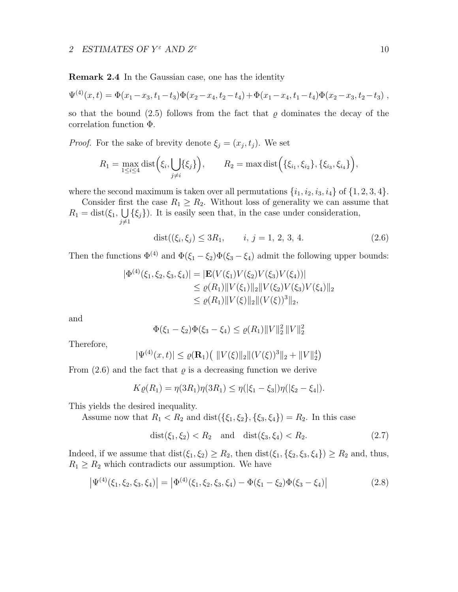Remark 2.4 In the Gaussian case, one has the identity

$$
\Psi^{(4)}(x,t) = \Phi(x_1 - x_3, t_1 - t_3)\Phi(x_2 - x_4, t_2 - t_4) + \Phi(x_1 - x_4, t_1 - t_4)\Phi(x_2 - x_3, t_2 - t_3),
$$

so that the bound (2.5) follows from the fact that  $\varrho$  dominates the decay of the correlation function Φ.

*Proof.* For the sake of brevity denote  $\xi_j = (x_j, t_j)$ . We set

$$
R_1 = \max_{1 \le i \le 4} \text{dist}(\xi_i, \bigcup_{j \ne i} \{\xi_j\}), \qquad R_2 = \max \text{dist}(\{\xi_{i_1}, \xi_{i_2}\}, \{\xi_{i_3}, \xi_{i_4}\}),
$$

where the second maximum is taken over all permutations  $\{i_1, i_2, i_3, i_4\}$  of  $\{1, 2, 3, 4\}$ .

Consider first the case  $R_1 \geq R_2$ . Without loss of generality we can assume that  $R_1 = \text{dist}(\xi_1, \cup)$  $j\neq 1$  $\{\xi_j\}\)$ . It is easily seen that, in the case under consideration,

$$
dist((\xi_i, \xi_j) \le 3R_1, \qquad i, j = 1, 2, 3, 4. \tag{2.6}
$$

Then the functions  $\Phi^{(4)}$  and  $\Phi(\xi_1 - \xi_2)\Phi(\xi_3 - \xi_4)$  admit the following upper bounds:

$$
|\Phi^{(4)}(\xi_1, \xi_2, \xi_3, \xi_4)| = |\mathbf{E}(V(\xi_1)V(\xi_2)V(\xi_3)V(\xi_4))|
$$
  
\n
$$
\leq \varrho(R_1) ||V(\xi_1)||_2 ||V(\xi_2)V(\xi_3)V(\xi_4)||_2
$$
  
\n
$$
\leq \varrho(R_1) ||V(\xi)||_2 ||(V(\xi))^3||_2,
$$

and

$$
\Phi(\xi_1 - \xi_2)\Phi(\xi_3 - \xi_4) \le \varrho(R_1) \|V\|_2^2 \|V\|_2^2
$$

Therefore,

$$
|\Psi^{(4)}(x,t)| \leq \varrho(\mathbf{R}_1) \left( \|V(\xi)\|_2 \|(V(\xi))^3\|_2 + \|V\|_2^4 \right)
$$

From  $(2.6)$  and the fact that  $\rho$  is a decreasing function we derive

$$
K\varrho(R_1) = \eta(3R_1)\eta(3R_1) \leq \eta(|\xi_1 - \xi_3|)\eta(|\xi_2 - \xi_4|).
$$

This yields the desired inequality.

Assume now that  $R_1 < R_2$  and  $dist({\xi_1, \xi_2}, {\xi_3, \xi_4}) = R_2$ . In this case

$$
dist(\xi_1, \xi_2) < R_2 \quad \text{and} \quad dist(\xi_3, \xi_4) < R_2. \tag{2.7}
$$

Indeed, if we assume that  $dist(\xi_1, \xi_2) \ge R_2$ , then  $dist(\xi_1, \{\xi_2, \xi_3, \xi_4\}) \ge R_2$  and, thus,  $R_1 \geq R_2$  which contradicts our assumption. We have

$$
\left|\Psi^{(4)}(\xi_1,\xi_2,\xi_3,\xi_4)\right| = \left|\Phi^{(4)}(\xi_1,\xi_2,\xi_3,\xi_4) - \Phi(\xi_1-\xi_2)\Phi(\xi_3-\xi_4)\right| \tag{2.8}
$$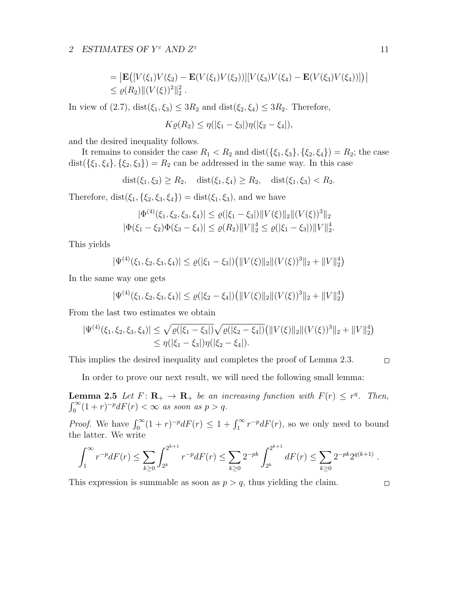= 
$$
|\mathbf{E}([V(\xi_1)V(\xi_2) - \mathbf{E}(V(\xi_1)V(\xi_2))][V(\xi_3)V(\xi_4) - \mathbf{E}(V(\xi_3)V(\xi_4))])|
$$
  
\n $\leq \varrho(R_2) ||(V(\xi))^2||_2^2$ .

In view of (2.7),  $dist(\xi_1, \xi_3) \leq 3R_2$  and  $dist(\xi_2, \xi_4) \leq 3R_2$ . Therefore,

$$
K\varrho(R_2) \leq \eta(|\xi_1 - \xi_3|)\eta(|\xi_2 - \xi_4|),
$$

and the desired inequality follows.

It remains to consider the case  $R_1 < R_2$  and  $dist({\xi_1, \xi_3}, {\xi_2, \xi_4}) = R_2$ ; the case dist( $\{\xi_1, \xi_4\}, \{\xi_2, \xi_3\}$ ) =  $R_2$  can be addressed in the same way. In this case

 $dist(\xi_1, \xi_2) \ge R_2$ ,  $dist(\xi_1, \xi_4) \ge R_2$ ,  $dist(\xi_1, \xi_3) < R_2$ .

Therefore, dist $(\xi_1, \{\xi_2, \xi_3, \xi_4\}) = \text{dist}(\xi_1, \xi_3)$ , and we have

$$
|\Phi^{(4)}(\xi_1, \xi_2, \xi_3, \xi_4)| \le \varrho(|\xi_1 - \xi_3|) \|V(\xi)\|_2 \|V(\xi)\|^3\|_2
$$
  

$$
|\Phi(\xi_1 - \xi_2)\Phi(\xi_3 - \xi_4)| \le \varrho(R_2) \|V\|_2^4 \le \varrho(|\xi_1 - \xi_3|) \|V\|_2^4.
$$

This yields

$$
|\Psi^{(4)}(\xi_1,\xi_2,\xi_3,\xi_4)| \leq \varrho(|\xi_1-\xi_3|) \big( \|V(\xi)\|_2 \| (V(\xi))^3 \|_2 + \|V\|_2^4 \big)
$$

In the same way one gets

$$
|\Psi^{(4)}(\xi_1,\xi_2,\xi_3,\xi_4)| \leq \varrho(|\xi_2-\xi_4|) \big( \|V(\xi)\|_2 \| (V(\xi))^3 \|_2 + \|V\|_2^4 \big)
$$

From the last two estimates we obtain

$$
|\Psi^{(4)}(\xi_1,\xi_2,\xi_3,\xi_4)| \leq \sqrt{\varrho(|\xi_1-\xi_3|)}\sqrt{\varrho(|\xi_2-\xi_4|)}\left(||V(\xi)||_2||(V(\xi))^3||_2+||V||_2^4\right) \leq \eta(|\xi_1-\xi_3|)\eta(|\xi_2-\xi_4|).
$$

This implies the desired inequality and completes the proof of Lemma 2.3.

$$
\Box
$$

In order to prove our next result, we will need the following small lemma:

**Lemma 2.5** Let  $F: \mathbf{R}_{+} \to \mathbf{R}_{+}$  be an increasing function with  $F(r) \leq r^{q}$ . Then,  $\int_0^\infty (1+r)^{-p} dF(r) < \infty$  as soon as  $p > q$ .

*Proof.* We have  $\int_0^{\infty} (1+r)^{-p} dF(r) \leq 1 + \int_1^{\infty} r^{-p} dF(r)$ , so we only need to bound the latter. We write

$$
\int_1^{\infty} r^{-p} dF(r) \leq \sum_{k \geq 0} \int_{2^k}^{2^{k+1}} r^{-p} dF(r) \leq \sum_{k \geq 0} 2^{-pk} \int_{2^k}^{2^{k+1}} dF(r) \leq \sum_{k \geq 0} 2^{-pk} 2^{q(k+1)}.
$$

This expression is summable as soon as  $p > q$ , thus yielding the claim.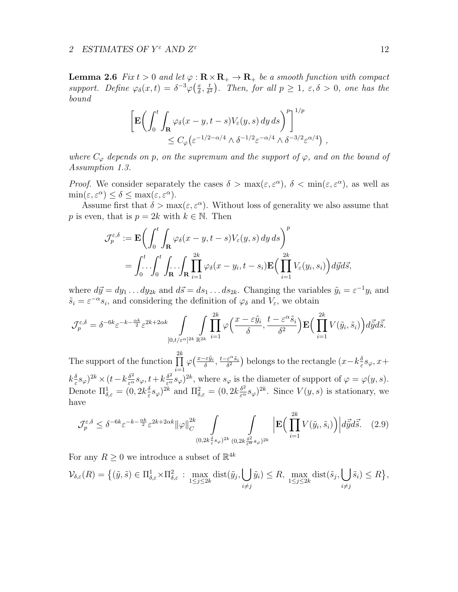**Lemma 2.6** Fix  $t > 0$  and let  $\varphi : \mathbf{R} \times \mathbf{R}_+ \to \mathbf{R}_+$  be a smooth function with compact support. Define  $\varphi_{\delta}(x,t) = \delta^{-3} \varphi(\frac{x}{\delta})$  $\frac{x}{\delta}$ ,  $\frac{t}{\delta^2}$  $\frac{t}{\delta^2}$ ). Then, for all  $p \geq 1$ ,  $\varepsilon, \delta > 0$ , one has the bound

$$
\left[ \mathbf{E} \bigg( \int_0^t \int_{\mathbf{R}} \varphi_\delta(x - y, t - s) V_\varepsilon(y, s) dy ds \bigg)^p \right]^{1/p} \leq C_\varphi \left( \varepsilon^{-1/2 - \alpha/4} \wedge \delta^{-1/2} \varepsilon^{-\alpha/4} \wedge \delta^{-3/2} \varepsilon^{\alpha/4} \right) ,
$$

where  $C_{\varphi}$  depends on p, on the supremum and the support of  $\varphi$ , and on the bound of Assumption 1.3.

*Proof.* We consider separately the cases  $\delta > \max(\varepsilon, \varepsilon^{\alpha})$ ,  $\delta < \min(\varepsilon, \varepsilon^{\alpha})$ , as well as  $\min(\varepsilon, \varepsilon^{\alpha}) \leq \delta \leq \max(\varepsilon, \varepsilon^{\alpha}).$ 

Assume first that  $\delta > \max(\varepsilon, \varepsilon^{\alpha})$ . Without loss of generality we also assume that p is even, that is  $p = 2k$  with  $k \in \mathbb{N}$ . Then

$$
\mathcal{J}_{p}^{\varepsilon,\delta} := \mathbf{E} \bigg( \int_{0}^{t} \int_{\mathbf{R}} \varphi_{\delta}(x-y,t-s) V_{\varepsilon}(y,s) dy ds \bigg)^{p}
$$
  
= 
$$
\int_{0}^{t} \int_{0}^{t} \int_{\mathbf{R}} \int_{\mathbf{R}} \prod_{i=1}^{2k} \varphi_{\delta}(x-y_{i},t-s_{i}) \mathbf{E} \Big( \prod_{i=1}^{2k} V_{\varepsilon}(y_{i},s_{i}) \Big) d\vec{y} d\vec{s},
$$

where  $d\vec{y} = dy_1 \dots dy_{2k}$  and  $d\vec{s} = ds_1 \dots ds_{2k}$ . Changing the variables  $\tilde{y}_i = \varepsilon^{-1} y_i$  and  $\tilde{s}_i = \varepsilon^{-\alpha} s_i$ , and considering the definition of  $\varphi_\delta$  and  $V_\varepsilon$ , we obtain

$$
\mathcal{J}_p^{\varepsilon,\delta} = \delta^{-6k} \varepsilon^{-k - \frac{\alpha k}{2}} \varepsilon^{2k + 2\alpha k} \int\limits_{[0,t/\varepsilon^{\alpha}]^{2k}} \prod_{i=1}^{2k} \varphi\Big(\frac{x - \varepsilon \tilde{y}_i}{\delta}, \frac{t - \varepsilon^{\alpha} \tilde{s}_i}{\delta^2}\Big) \mathbf{E}\Big(\prod_{i=1}^{2k} V(\tilde{y}_i, \tilde{s}_i)\Big) d\tilde{\vec{y}} d\tilde{\vec{s}}.
$$

The support of the function  $\prod^{2k}$  $i=1$  $\varphi\left(\frac{x-\varepsilon\tilde{y}_i}{\delta}\right)$  $rac{\varepsilon \tilde{y}_i}{\delta}, \frac{t-\varepsilon^{\alpha}\tilde{s}_i}{\delta^2}$  $\frac{\varepsilon^{\alpha} \tilde{s}_i}{\delta^2}$ ) belongs to the rectangle  $(x - k \frac{\delta}{\varepsilon})$  $\frac{\delta}{\varepsilon} s_\varphi$ , x+  $k_{\frac{\delta}{\varepsilon}}$  $\frac{\delta}{\varepsilon} s_{\varphi}$ )<sup>2k</sup> × (t – k $\frac{\delta^2}{\varepsilon^{\alpha}} s_{\varphi}$ , t + k $\frac{\delta^2}{\varepsilon^{\alpha}} s_{\varphi}$ )<sup>2k</sup>, where  $s_{\varphi}$  is the diameter of support of  $\varphi = \varphi(y, s)$ . Denote  $\Pi_{\delta,\varepsilon}^1 = (0, 2k \frac{\delta}{\varepsilon})$  $(\frac{\delta}{\varepsilon} s_{\varphi})^{2k}$  and  $\Pi_{\delta,\varepsilon}^2 = (0, 2k \frac{\delta^2}{\varepsilon^{\alpha}} s_{\varphi})^{2k}$ . Since  $V(y, s)$  is stationary, we have

$$
\mathcal{J}_p^{\varepsilon,\delta} \leq \delta^{-6k} \varepsilon^{-k - \frac{\alpha k}{2}} \varepsilon^{2k + 2\alpha k} ||\varphi||_C^{2k} \int_{(0,2k\frac{\delta}{\varepsilon}s_\varphi)^{2k}} \int_{(0,2k\frac{\delta^2}{\varepsilon}\varepsilon_\varphi)^{2k}} \left| \mathbf{E} \Big(\prod_{i=1}^{2k} V(\tilde{y}_i, \tilde{s}_i) \Big) \right| d\vec{\tilde{y}} d\vec{\tilde{s}}. \tag{2.9}
$$

For any  $R \geq 0$  we introduce a subset of  $\mathbb{R}^{4k}$ 

$$
\mathcal{V}_{\delta,\varepsilon}(R) = \left\{ (\tilde{y}, \tilde{s}) \in \Pi_{\delta,\varepsilon}^1 \times \Pi_{\delta,\varepsilon}^2 : \max_{1 \le j \le 2k} \text{dist}(\tilde{y}_j, \bigcup_{i \ne j} \tilde{y}_i) \le R, \max_{1 \le j \le 2k} \text{dist}(\tilde{s}_j, \bigcup_{i \ne j} \tilde{s}_i) \le R \right\},\
$$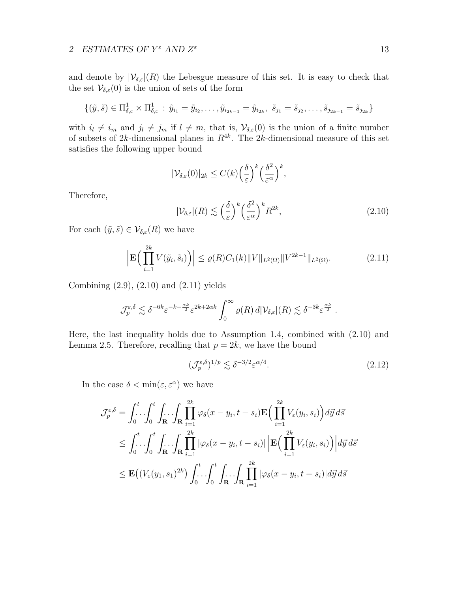and denote by  $|\mathcal{V}_{\delta,\varepsilon}|(R)$  the Lebesgue measure of this set. It is easy to check that the set  $\mathcal{V}_{\delta,\varepsilon}(0)$  is the union of sets of the form

$$
\{(\tilde{y}, \tilde{s}) \in \Pi_{\delta, \varepsilon}^1 \times \Pi_{\delta, \varepsilon}^1 : \tilde{y}_{i_1} = \tilde{y}_{i_2}, \dots, \tilde{y}_{i_{2k-1}} = \tilde{y}_{i_{2k}}, \ \tilde{s}_{j_1} = \tilde{s}_{j_2}, \dots, \tilde{s}_{j_{2k-1}} = \tilde{s}_{j_{2k}}\}
$$

with  $i_l \neq i_m$  and  $j_l \neq j_m$  if  $l \neq m$ , that is,  $\mathcal{V}_{\delta,\varepsilon}(0)$  is the union of a finite number of subsets of 2k-dimensional planes in  $R^{4k}$ . The 2k-dimensional measure of this set satisfies the following upper bound

$$
|\mathcal{V}_{\delta,\varepsilon}(0)|_{2k} \le C(k) \left(\frac{\delta}{\varepsilon}\right)^k \left(\frac{\delta^2}{\varepsilon^{\alpha}}\right)^k,
$$

Therefore,

$$
|\mathcal{V}_{\delta,\varepsilon}|(R) \lesssim \left(\frac{\delta}{\varepsilon}\right)^k \left(\frac{\delta^2}{\varepsilon^{\alpha}}\right)^k R^{2k},\tag{2.10}
$$

For each  $(\tilde{y}, \tilde{s}) \in \mathcal{V}_{\delta, \varepsilon}(R)$  we have

$$
\left| \mathbf{E} \Big( \prod_{i=1}^{2k} V(\tilde{y}_i, \tilde{s}_i) \Big) \right| \le \varrho(R) C_1(k) \| V \|_{L^2(\Omega)} \| V^{2k-1} \|_{L^2(\Omega)}.
$$
\n(2.11)

Combining (2.9), (2.10) and (2.11) yields

$$
\mathcal{J}_{p}^{\varepsilon,\delta} \lesssim \delta^{-6k} \varepsilon^{-k-\frac{\alpha k}{2}} \varepsilon^{2k+2\alpha k} \int_{0}^{\infty} \varrho(R) \, d|\mathcal{V}_{\delta,\varepsilon}|(R) \lesssim \delta^{-3k} \varepsilon^{\frac{\alpha k}{2}}.
$$

Here, the last inequality holds due to Assumption 1.4, combined with (2.10) and Lemma 2.5. Therefore, recalling that  $p = 2k$ , we have the bound

$$
(\mathcal{J}_p^{\varepsilon,\delta})^{1/p} \lesssim \delta^{-3/2} \varepsilon^{\alpha/4}.
$$

In the case  $\delta < \min(\varepsilon, \varepsilon^{\alpha})$  we have

$$
\mathcal{J}_{p}^{\varepsilon,\delta} = \int_{0}^{t} \int_{0}^{t} \int_{\mathbf{R}} \int_{\mathbf{R}} \prod_{i=1}^{2k} \varphi_{\delta}(x - y_{i}, t - s_{i}) \mathbf{E}\Big(\prod_{i=1}^{2k} V_{\varepsilon}(y_{i}, s_{i})\Big) d\vec{y} d\vec{s} \n\leq \int_{0}^{t} \int_{0}^{t} \int_{\mathbf{R}} \int_{\mathbf{R}} \prod_{i=1}^{2k} |\varphi_{\delta}(x - y_{i}, t - s_{i})| \left| \mathbf{E}\Big(\prod_{i=1}^{2k} V_{\varepsilon}(y_{i}, s_{i})\Big) \right| d\vec{y} d\vec{s} \n\leq \mathbf{E}\Big(\big(V_{\varepsilon}(y_{1}, s_{1})^{2k}\big) \int_{0}^{t} \int_{0}^{t} \int_{\mathbf{R}} \int_{\mathbf{R}} \prod_{i=1}^{2k} |\varphi_{\delta}(x - y_{i}, t - s_{i})| d\vec{y} d\vec{s}
$$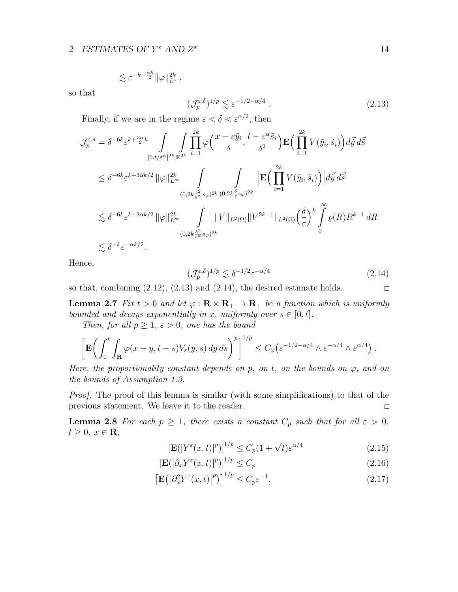$$
\lesssim \varepsilon^{-k-\frac{\alpha k}{2}} \|\varphi\|_{L^1}^{2k} ,
$$

so that

$$
(\mathcal{J}_p^{\varepsilon,\delta})^{1/p} \lesssim \varepsilon^{-1/2 - \alpha/4} \ . \tag{2.13}
$$

Finally, if we are in the regime  $\varepsilon < \delta < \varepsilon^{\alpha/2}$ , then

$$
\mathcal{J}_{p}^{\varepsilon,\delta} = \delta^{-6k} \varepsilon^{k + \frac{3\alpha}{2}k} \int_{[0,t/\varepsilon^{\alpha}]^{2k}} \int_{\mathbb{R}^{2k}} \prod_{i=1}^{2k} \varphi\left(\frac{x - \varepsilon \tilde{y}_{i}}{\delta}, \frac{t - \varepsilon^{\alpha} \tilde{s}_{i}}{\delta^{2}}\right) \mathbf{E}\left(\prod_{i=1}^{2k} V(\tilde{y}_{i}, \tilde{s}_{i})\right) d\tilde{\vec{y}} d\tilde{\vec{s}} \n\leq \delta^{-6k} \varepsilon^{k + 3\alpha k/2} \|\varphi\|_{L^{\infty}}^{2k} \int_{(0,2k\frac{\delta^{2}}{\varepsilon^{\alpha}} s_{\varphi})^{2k}} \int_{(0,2k\frac{\delta^{2}}{\varepsilon^{\alpha}} s_{\varphi})^{2k}} \left|\mathbf{E}\left(\prod_{i=1}^{2k} V(\tilde{y}_{i}, \tilde{s}_{i})\right) d\tilde{\vec{y}} d\tilde{\vec{s}} \n\leq \delta^{-6k} \varepsilon^{k + 3\alpha k/2} \|\varphi\|_{L^{\infty}}^{2k} \int_{(0,2k\frac{\delta^{2}}{\varepsilon^{\alpha}} s_{\varphi})^{2k}} \|V\|_{L^{2}(\Omega)} \|V^{2k-1}\|_{L^{2}(\Omega)} \left(\frac{\delta}{\varepsilon}\right)^{k} \int_{0}^{\infty} \varrho(R) R^{k-1} dR \n\leq \delta^{-k} \varepsilon^{-\alpha k/2}.
$$

Hence,

$$
(\mathcal{J}_p^{\varepsilon,\delta})^{1/p} \lesssim \delta^{-1/2} \varepsilon^{-\alpha/4} \tag{2.14}
$$

so that, combining  $(2.12)$ ,  $(2.13)$  and  $(2.14)$ , the desired estimate holds.  $\Box$ 

**Lemma 2.7** Fix  $t > 0$  and let  $\varphi : \mathbf{R} \times \mathbf{R}_{+} \to \mathbf{R}_{+}$  be a function which is uniformly bounded and decays exponentially in x, uniformly over  $s \in [0, t]$ .

Then, for all  $p \geq 1$ ,  $\varepsilon > 0$ , one has the bound

$$
\left[\mathbf{E}\bigg(\int_0^t \int_{\mathbf{R}} \varphi(x-y,t-s)V_{\varepsilon}(y,s) \,dy\,ds\bigg)^p\right]^{1/p} \le C_{\varphi}\big(\varepsilon^{-1/2-\alpha/4} \wedge \varepsilon^{-\alpha/4} \wedge \varepsilon^{\alpha/4}\big)\;.
$$

Here, the proportionality constant depends on p, on t, on the bounds on  $\varphi$ , and on the bounds of Assumption 1.3.

Proof. The proof of this lemma is similar (with some simplifications) to that of the previous statement. We leave it to the reader.  $\Box$ 

**Lemma 2.8** For each  $p \geq 1$ , there exists a constant  $C_p$  such that for all  $\varepsilon > 0$ ,  $t \geq 0, x \in \mathbf{R},$ 

$$
\left[\mathbf{E}(|Y^{\varepsilon}(x,t)|^p)\right]^{1/p} \le C_p(1+\sqrt{t})\varepsilon^{\alpha/4}
$$
\n(2.15)

$$
\left[\mathbf{E}(|\partial_x Y^{\varepsilon}(x,t)|^p)\right]^{1/p} \le C_p \tag{2.16}
$$

$$
\left[\mathbf{E}\left(\left|\partial_x^2 Y^{\varepsilon}(x,t)\right|^p\right)\right]^{1/p} \le C_p \varepsilon^{-1}.\tag{2.17}
$$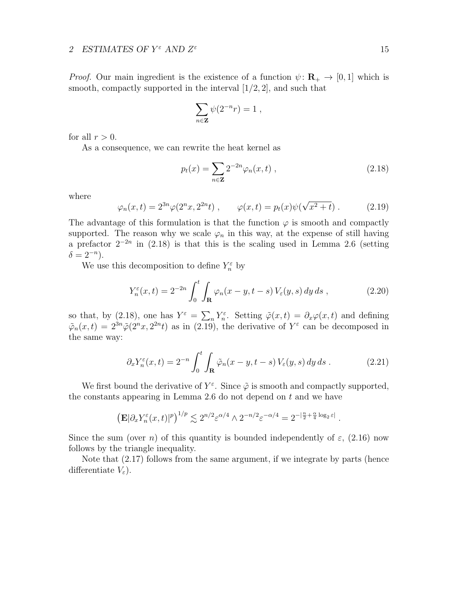*Proof.* Our main ingredient is the existence of a function  $\psi : \mathbf{R}_{+} \to [0, 1]$  which is smooth, compactly supported in the interval  $(1/2, 2]$ , and such that

$$
\sum_{n\in\mathbf{Z}} \psi(2^{-n}r) = 1 ,
$$

for all  $r > 0$ .

As a consequence, we can rewrite the heat kernel as

$$
p_t(x) = \sum_{n \in \mathbf{Z}} 2^{-2n} \varphi_n(x, t) , \qquad (2.18)
$$

where

$$
\varphi_n(x,t) = 2^{3n}\varphi(2^n x, 2^{2n}t) , \qquad \varphi(x,t) = p_t(x)\psi(\sqrt{x^2 + t}) . \tag{2.19}
$$

The advantage of this formulation is that the function  $\varphi$  is smooth and compactly supported. The reason why we scale  $\varphi_n$  in this way, at the expense of still having a prefactor  $2^{-2n}$  in (2.18) is that this is the scaling used in Lemma 2.6 (setting  $\delta = 2^{-n}$ ).

We use this decomposition to define  $Y_n^{\varepsilon}$  by

$$
Y_n^{\varepsilon}(x,t) = 2^{-2n} \int_0^t \int_{\mathbf{R}} \varphi_n(x-y,t-s) V_{\varepsilon}(y,s) dy ds , \qquad (2.20)
$$

so that, by (2.18), one has  $Y^{\varepsilon} = \sum_{n} Y_n^{\varepsilon}$ . Setting  $\tilde{\varphi}(x, t) = \partial_x \varphi(x, t)$  and defining  $\tilde{\varphi}_n(x,t) = 2^{3n}\tilde{\varphi}(2^n x, 2^{2n}t)$  as in (2.19), the derivative of  $Y^{\varepsilon}$  can be decomposed in the same way:

$$
\partial_x Y_n^{\varepsilon}(x,t) = 2^{-n} \int_0^t \int_{\mathbf{R}} \tilde{\varphi}_n(x-y,t-s) \, V_{\varepsilon}(y,s) \, dy \, ds \,. \tag{2.21}
$$

.

We first bound the derivative of  $Y^{\varepsilon}$ . Since  $\tilde{\varphi}$  is smooth and compactly supported, the constants appearing in Lemma 2.6 do not depend on  $t$  and we have

$$
\left(\mathbf{E}|\partial_x Y_n^{\varepsilon}(x,t)|^p\right)^{1/p} \lesssim 2^{n/2} \varepsilon^{\alpha/4} \wedge 2^{-n/2} \varepsilon^{-\alpha/4} = 2^{-\left|\frac{n}{2} + \frac{\alpha}{4}\log_2 \varepsilon\right|}
$$

Since the sum (over n) of this quantity is bounded independently of  $\varepsilon$ , (2.16) now follows by the triangle inequality.

Note that (2.17) follows from the same argument, if we integrate by parts (hence differentiate  $V_{\varepsilon}$ ).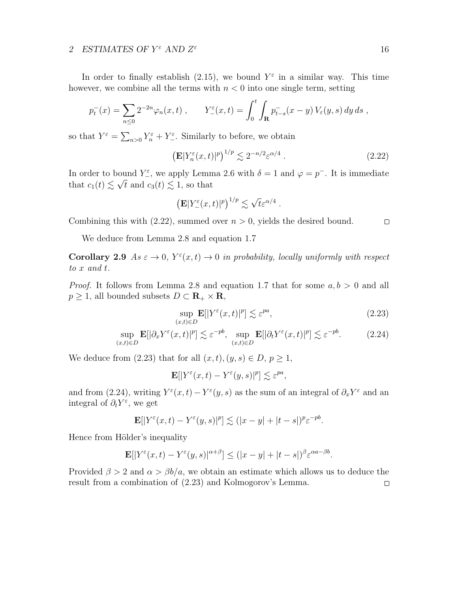In order to finally establish (2.15), we bound  $Y^{\varepsilon}$  in a similar way. This time however, we combine all the terms with  $n < 0$  into one single term, setting

$$
p_t^-(x) = \sum_{n\leq 0} 2^{-2n} \varphi_n(x,t) , \qquad Y_{-}^{\varepsilon}(x,t) = \int_0^t \int_{\mathbf{R}} p_{t-s}^-(x-y) V_{\varepsilon}(y,s) dy ds ,
$$

so that  $Y^{\varepsilon} = \sum_{n>0} Y_n^{\varepsilon} + Y_{-}^{\varepsilon}$ . Similarly to before, we obtain

$$
\left(\mathbf{E}|Y_n^{\varepsilon}(x,t)|^p\right)^{1/p} \lesssim 2^{-n/2} \varepsilon^{\alpha/4} \ . \tag{2.22}
$$

In order to bound  $Y_{\epsilon}^{\varepsilon}$ , we apply Lemma 2.6 with  $\delta = 1$  and  $\varphi = p^{-}$ . It is immediate that  $c_1(t) \lesssim \sqrt{t}$  and  $c_3(t) \lesssim 1$ , so that

$$
\left(\mathbf{E}|Y_{-}^{\varepsilon}(x,t)|^p\right)^{1/p} \lesssim \sqrt{t} \varepsilon^{\alpha/4} .
$$

Combining this with  $(2.22)$ , summed over  $n > 0$ , yields the desired bound.

We deduce from Lemma 2.8 and equation 1.7

**Corollary 2.9** As  $\varepsilon \to 0$ ,  $Y^{\varepsilon}(x,t) \to 0$  in probability, locally uniformly with respect to x and t.

*Proof.* It follows from Lemma 2.8 and equation 1.7 that for some  $a, b > 0$  and all  $p \geq 1$ , all bounded subsets  $D \subset \mathbf{R}_{+} \times \mathbf{R}$ ,

$$
\sup_{(x,t)\in D} \mathbf{E}[|Y^{\varepsilon}(x,t)|^p] \lesssim \varepsilon^{pa},\tag{2.23}
$$

$$
\sup_{(x,t)\in D} \mathbf{E}[|\partial_x Y^{\varepsilon}(x,t)|^p] \lesssim \varepsilon^{-pb}, \sup_{(x,t)\in D} \mathbf{E}[|\partial_t Y^{\varepsilon}(x,t)|^p] \lesssim \varepsilon^{-pb}.
$$
 (2.24)

We deduce from (2.23) that for all  $(x, t), (y, s) \in D, p \ge 1$ ,

$$
\mathbf{E}[|Y^{\varepsilon}(x,t)-Y^{\varepsilon}(y,s)|^{p}]\lesssim \varepsilon^{pa},
$$

and from (2.24), writing  $Y^{\varepsilon}(x,t) - Y^{\varepsilon}(y,s)$  as the sum of an integral of  $\partial_x Y^{\varepsilon}$  and an integral of  $\partial_t Y^{\varepsilon}$ , we get

$$
\mathbf{E}[|Y^{\varepsilon}(x,t)-Y^{\varepsilon}(y,s)|^p] \lesssim (|x-y|+|t-s|)^p \varepsilon^{-pb}.
$$

Hence from Hölder's inequality

$$
\mathbf{E}[|Y^{\varepsilon}(x,t)-Y^{\varepsilon}(y,s)|^{\alpha+\beta}] \le (|x-y|+|t-s|)^{\beta} \varepsilon^{\alpha a-\beta b}.
$$

Provided  $\beta > 2$  and  $\alpha > \beta b/a$ , we obtain an estimate which allows us to deduce the result from a combination of (2.23) and Kolmogorov's Lemma. $\Box$ 

 $\Box$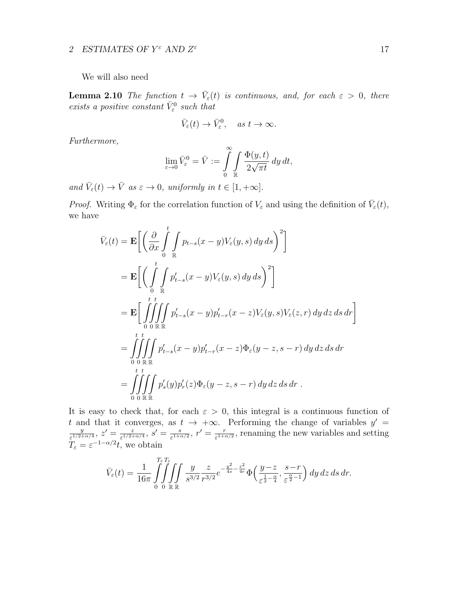We will also need

**Lemma 2.10** The function  $t \to \bar{V}_{\varepsilon}(t)$  is continuous, and, for each  $\varepsilon > 0$ , there exists a positive constant  $\bar{V}^0_\varepsilon$  such that

$$
\bar{V}_{\varepsilon}(t) \to \bar{V}_{\varepsilon}^0, \quad \text{as } t \to \infty.
$$

Furthermore,

$$
\lim_{\varepsilon \to 0} \bar{V}_{\varepsilon}^{0} = \bar{V} := \int_{0}^{\infty} \int_{\mathbb{R}} \frac{\Phi(y, t)}{2\sqrt{\pi t}} dy dt,
$$

and  $\bar{V}_{\varepsilon}(t) \to \bar{V}$  as  $\varepsilon \to 0$ , uniformly in  $t \in [1, +\infty]$ .

*Proof.* Writing  $\Phi_{\varepsilon}$  for the correlation function of  $V_{\varepsilon}$  and using the definition of  $\bar{V}_{\varepsilon}(t)$ , we have

$$
\bar{V}_{\varepsilon}(t) = \mathbf{E} \bigg[ \bigg( \frac{\partial}{\partial x} \int_{0}^{t} \int_{\mathbb{R}} p_{t-s}(x-y) V_{\varepsilon}(y, s) dy ds \bigg)^{2} \bigg]
$$
\n
$$
= \mathbf{E} \bigg[ \bigg( \int_{0}^{t} \int_{\mathbb{R}} p'_{t-s}(x-y) V_{\varepsilon}(y, s) dy ds \bigg)^{2} \bigg]
$$
\n
$$
= \mathbf{E} \bigg[ \int_{0}^{t} \int_{0}^{t} \int_{\mathbb{R}} p'_{t-s}(x-y) p'_{t-r}(x-z) V_{\varepsilon}(y, s) V_{\varepsilon}(z, r) dy dz ds dr \bigg]
$$
\n
$$
= \int_{0}^{t} \int_{0}^{t} \int_{\mathbb{R}} p'_{t-s}(x-y) p'_{t-r}(x-z) \Phi_{\varepsilon}(y-z, s-r) dy dz ds dr
$$
\n
$$
= \int_{0}^{t} \int_{0}^{t} \int_{\mathbb{R}} p'_{s}(y) p'_{r}(z) \Phi_{\varepsilon}(y-z, s-r) dy dz ds dr .
$$

It is easy to check that, for each  $\varepsilon > 0$ , this integral is a continuous function of t and that it converges, as  $t \to +\infty$ . Performing the change of variables  $y' =$  $\overline{y}$  $\frac{y}{\varepsilon^{1/2+\alpha/4}},\,z'=\frac{z}{\varepsilon^{1/2+1}}$  $\frac{z}{\varepsilon^{1/2+\alpha/4}},\, s'=\frac{s}{\varepsilon^{1+\alpha}}$  $\frac{s}{\varepsilon^{1+\alpha/2}},\,r'=\frac{r}{\varepsilon^{1+\alpha}}$  $\frac{r}{\varepsilon^{1+\alpha/2}}$ , renaming the new variables and setting  $T_{\varepsilon} = \varepsilon^{-1-\alpha/2}t$ , we obtain

$$
\bar{V}_{\varepsilon}(t) = \frac{1}{16\pi} \int_{0}^{T_{\varepsilon}T_{\varepsilon}} \int_{0}^{T_{\varepsilon}} \int_{\mathbb{R}} \int_{s^{3/2}} \frac{y}{r^{3/2}} \frac{z}{r^{3/2}} e^{-\frac{y^2}{4s} - \frac{z^2}{4r}} \Phi\left(\frac{y-z}{\varepsilon^{\frac{1}{2} - \frac{\alpha}{4}}}, \frac{s-r}{\varepsilon^{\frac{\alpha}{2} - 1}}\right) dy dz ds dr.
$$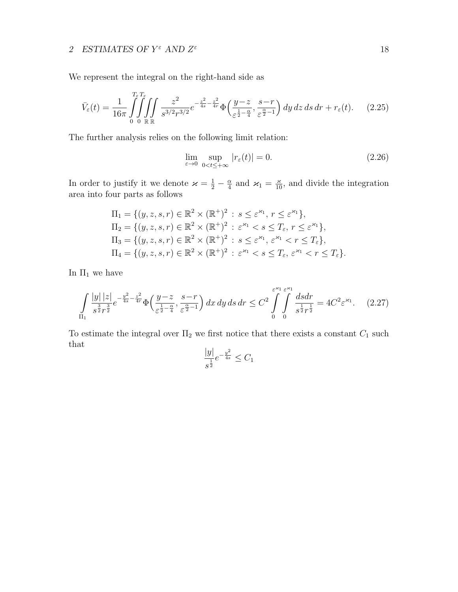We represent the integral on the right-hand side as

$$
\bar{V}_{\varepsilon}(t) = \frac{1}{16\pi} \int_{0}^{T_{\varepsilon}T_{\varepsilon}} \int_{0}^{T_{\varepsilon}T_{\varepsilon}} \int_{\mathbb{R}} \frac{z^2}{s^{3/2}r^{3/2}} e^{-\frac{z^2}{4s} - \frac{z^2}{4r}} \Phi\left(\frac{y-z}{\varepsilon^{\frac{1}{2} - \frac{\alpha}{4}}}, \frac{s-r}{\varepsilon^{\frac{\alpha}{2} - 1}}\right) dy \, dz \, ds \, dr + r_{\varepsilon}(t). \tag{2.25}
$$

The further analysis relies on the following limit relation:

$$
\lim_{\varepsilon \to 0} \sup_{0 < t \le +\infty} |r_{\varepsilon}(t)| = 0. \tag{2.26}
$$

In order to justify it we denote  $\varkappa = \frac{1}{2} - \frac{\alpha}{4}$  $\frac{\alpha}{4}$  and  $\varkappa_1 = \frac{\varkappa}{10}$ , and divide the integration area into four parts as follows

$$
\Pi_1 = \{ (y, z, s, r) \in \mathbb{R}^2 \times (\mathbb{R}^+)^2 : s \le \varepsilon^{x_1}, r \le \varepsilon^{x_1} \},
$$
  
\n
$$
\Pi_2 = \{ (y, z, s, r) \in \mathbb{R}^2 \times (\mathbb{R}^+)^2 : \varepsilon^{x_1} < s \le T_\varepsilon, r \le \varepsilon^{x_1} \},
$$
  
\n
$$
\Pi_3 = \{ (y, z, s, r) \in \mathbb{R}^2 \times (\mathbb{R}^+)^2 : s \le \varepsilon^{x_1}, \varepsilon^{x_1} < r \le T_\varepsilon \},
$$
  
\n
$$
\Pi_4 = \{ (y, z, s, r) \in \mathbb{R}^2 \times (\mathbb{R}^+)^2 : \varepsilon^{x_1} < s \le T_\varepsilon, \varepsilon^{x_1} < r \le T_\varepsilon \}.
$$

In  $\Pi_1$  we have

$$
\int_{\Pi_1} \frac{|y| |z|}{s^{\frac{3}{2}} r^{\frac{3}{2}}} e^{-\frac{y^2}{4s} - \frac{z^2}{4r}} \Phi\left(\frac{y-z}{\varepsilon^{\frac{1}{2} - \frac{\alpha}{4}}}, \frac{s-r}{\varepsilon^{\frac{\alpha}{2} - 1}}\right) dx \, dy \, ds \, dr \leq C^2 \int_{0}^{\varepsilon^{2/1}} \int_{0}^{\varepsilon^{2/1}} \frac{ds dr}{s^{\frac{1}{2}} r^{\frac{1}{2}}} = 4C^2 \varepsilon^{z_1}.
$$
 (2.27)

To estimate the integral over  $\Pi_2$  we first notice that there exists a constant  $C_1$  such that

$$
\frac{|y|}{s^{\frac{1}{2}}}e^{-\frac{y^2}{4s}} \leq C_1
$$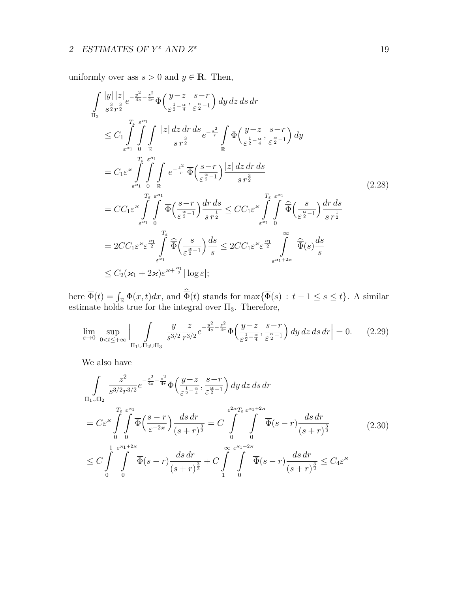uniformly over ass  $s > 0$  and  $y \in \mathbb{R}$ . Then,

$$
\int_{\Pi_{2}} \frac{|y| |z|}{s^{\frac{3}{2}}r^{\frac{3}{2}}} e^{-\frac{y^{2}}{4s} - \frac{z^{2}}{4r}} \Phi\left(\frac{y-z}{\varepsilon^{\frac{1}{2}-\frac{\alpha}{4}}}, \frac{s-r}{\varepsilon^{\frac{\alpha}{2}-1}}\right) dy dz ds dr
$$
\n
$$
\leq C_{1} \int_{\varepsilon^{2\epsilon}} \int_{\mathbb{R}} \int_{\mathbb{R}} |z| dz dr ds_{\varepsilon^{-\frac{2}{2}}} e^{-\frac{z^{2}}{r}} \int_{\mathbb{R}} \Phi\left(\frac{y-z}{\varepsilon^{\frac{1}{2}-\frac{\alpha}{4}}}, \frac{s-r}{\varepsilon^{\frac{\alpha}{2}-1}}\right) dy
$$
\n
$$
= C_{1} \varepsilon^{2\epsilon} \int_{\varepsilon^{2\epsilon}} \int_{\mathbb{R}} \int_{\mathbb{R}} e^{-\frac{z^{2}}{r}} \Phi\left(\frac{s-r}{\varepsilon^{\frac{\alpha}{2}-1}}\right) |z| dz dr ds
$$
\n
$$
= C_{1} \varepsilon^{2\epsilon} \int_{\varepsilon^{2\epsilon}} \int_{\mathbb{R}} \int_{\mathbb{R}} e^{-\frac{z^{2}}{r}} \Phi\left(\frac{s-r}{\varepsilon^{\frac{\alpha}{2}-1}}\right) \frac{dz}{s r^{\frac{3}{2}}}
$$
\n
$$
= CC_{1} \varepsilon^{2\epsilon} \int_{\varepsilon^{2\epsilon}} \int_{\varepsilon^{2\epsilon}} \int_{\mathbb{R}} \Phi\left(\frac{s-r}{\varepsilon^{\frac{\alpha}{2}-1}}\right) \frac{dr ds}{s r^{\frac{1}{2}}} \leq CC_{1} \varepsilon^{2\epsilon} \int_{\varepsilon^{2\epsilon}} \int_{0}^{T_{\varepsilon}} \Phi\left(\frac{s}{\varepsilon^{\frac{\alpha}{2}-1}}\right) \frac{dr ds}{s r^{\frac{1}{2}}}
$$
\n
$$
= 2 CC_{1} \varepsilon^{2\epsilon} \varepsilon^{\frac{2\epsilon}{2}} \int_{\varepsilon^{2\epsilon}} \widehat{\Phi}\left(\frac{s}{\varepsilon^{\frac{\alpha}{2}-1}}\right) \frac{ds}{s} \leq 2 CC_{1} \varepsilon^{2\epsilon} \varepsilon^{\frac{2\epsilon}{2}}
$$

here  $\overline{\Phi}(t) = \int_{\mathbb{R}} \Phi(x, t) dx$ , and  $\overline{\Phi}(t)$  stands for  $\max{\{\overline{\Phi}(s) : t - 1 \le s \le t\}}$ . A similar estimate holds true for the integral over  $\Pi_3$ . Therefore,

$$
\lim_{\varepsilon \to 0} \sup_{0 < t \leq +\infty} \left| \int_{\Pi_1 \cup \Pi_2 \cup \Pi_3} \frac{y}{s^{3/2}} \frac{z}{r^{3/2}} e^{-\frac{y^2}{4s} - \frac{z^2}{4r}} \Phi\left(\frac{y-z}{\varepsilon^{\frac{1}{2} - \frac{\alpha}{4}}}, \frac{s-r}{\varepsilon^{\frac{\alpha}{2} - 1}}\right) dy \, dz \, ds \, dr \right| = 0. \tag{2.29}
$$

We also have

$$
\int_{\Pi_{1}\cup\Pi_{2}} \frac{z^{2}}{s^{3/2}r^{3/2}} e^{-\frac{z^{2}}{4s} - \frac{z^{2}}{4r}} \Phi\left(\frac{y-z}{\varepsilon^{\frac{1}{2}-\frac{\alpha}{4}}}, \frac{s-r}{\varepsilon^{\frac{\alpha}{2}-1}}\right) dy dz ds dr
$$
\n
$$
= C\varepsilon^{*} \int_{0}^{T_{\varepsilon}} \int_{0}^{\varepsilon^{*\prime}} \overline{\Phi}\left(\frac{s-r}{\varepsilon^{-2\varkappa}}\right) \frac{ds dr}{(s+r)^{\frac{3}{2}}} = C \int_{0}^{\varepsilon^{2\varkappa}T_{\varepsilon}} \int_{0}^{\varepsilon^{2\varkappa}T_{\varepsilon} + 2\varkappa} \overline{\Phi}(s-r) \frac{ds dr}{(s+r)^{\frac{3}{2}}} \tag{2.30}
$$
\n
$$
\leq C \int_{0}^{1} \int_{0}^{\varepsilon^{2(1+2\varkappa)}} \overline{\Phi}(s-r) \frac{ds dr}{(s+r)^{\frac{3}{2}}} + C \int_{1}^{\infty} \int_{0}^{\varepsilon^{2(1+2\varkappa)}} \overline{\Phi}(s-r) \frac{ds dr}{(s+r)^{\frac{3}{2}}} \leq C_{4}\varepsilon^{*}
$$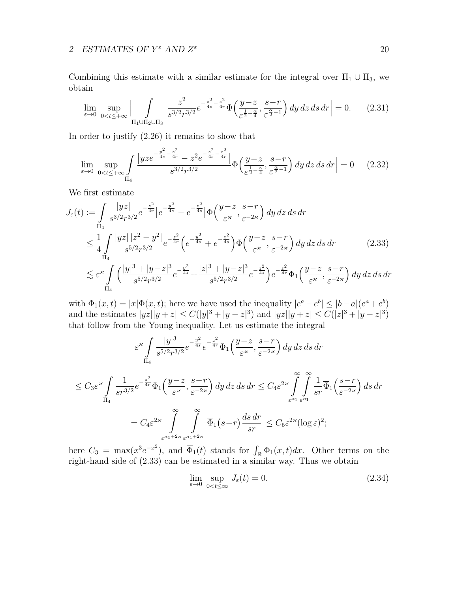Combining this estimate with a similar estimate for the integral over  $\Pi_1 \cup \Pi_3$ , we obtain

$$
\lim_{\varepsilon \to 0} \sup_{0 < t \leq +\infty} \Big| \int_{\Pi_1 \cup \Pi_2 \cup \Pi_3} \frac{z^2}{s^{3/2} r^{3/2}} e^{-\frac{z^2}{4s} - \frac{z^2}{4r}} \Phi\left(\frac{y - z}{\varepsilon^{\frac{1}{2} - \frac{\alpha}{4}}}, \frac{s - r}{\varepsilon^{\frac{\alpha}{2} - 1}}\right) dy \, dz \, ds \, dr \Big| = 0. \tag{2.31}
$$

In order to justify (2.26) it remains to show that

$$
\lim_{\varepsilon \to 0} \sup_{0 < t \leq +\infty} \int_{\Pi_4} \frac{|yz e^{-\frac{y^2}{4s} - \frac{z^2}{4r}} - z^2 e^{-\frac{z^2}{4s} - \frac{z^2}{4r}}|}{s^{3/2} r^{3/2}} \Phi\left(\frac{y - z}{\varepsilon^{\frac{1}{2} - \frac{\alpha}{4}}}, \frac{s - r}{\varepsilon^{\frac{\alpha}{2} - 1}}\right) dy \, dz \, ds \, dr \big| = 0 \qquad (2.32)
$$

We first estimate

$$
J_{\varepsilon}(t) := \int_{\Pi_{4}} \frac{|yz|}{s^{3/2}r^{3/2}} e^{-\frac{z^{2}}{4r}} \left| e^{-\frac{y^{2}}{4s}} - e^{-\frac{z^{2}}{4s}} \right| \Phi\left(\frac{y-z}{\varepsilon}, \frac{s-r}{\varepsilon^{-2\varkappa}}\right) dy dz ds dr
$$
  
\n
$$
\leq \frac{1}{4} \int_{\Pi_{4}} \frac{|yz| |z^{2} - y^{2}|}{s^{5/2}r^{3/2}} e^{-\frac{z^{2}}{4r}} \left( e^{-\frac{y^{2}}{4s}} + e^{-\frac{z^{2}}{4s}} \right) \Phi\left(\frac{y-z}{\varepsilon}, \frac{s-r}{\varepsilon^{-2\varkappa}}\right) dy dz ds dr \qquad (2.33)
$$
  
\n
$$
\lesssim \varepsilon^{2\varkappa} \int_{\Pi_{4}} \left( \frac{|y|^{3} + |y-z|^{3}}{s^{5/2}r^{3/2}} e^{-\frac{y^{2}}{4s}} + \frac{|z|^{3} + |y-z|^{3}}{s^{5/2}r^{3/2}} e^{-\frac{z^{2}}{4s}} \right) e^{-\frac{z^{2}}{4r}} \Phi_{1}\left(\frac{y-z}{\varepsilon}, \frac{s-r}{\varepsilon^{-2\varkappa}}\right) dy dz ds dr
$$

with  $\Phi_1(x,t) = |x| \Phi(x,t)$ ; here we have used the inequality  $|e^a - e^b| \leq |b - a|(e^a + e^b)$ and the estimates  $|yz||y+z| \leq C(|y|^3+|y-z|^3)$  and  $|yz||y+z| \leq C(|z|^3+|y-z|^3)$ that follow from the Young inequality. Let us estimate the integral

$$
\varepsilon^{z} \int_{\Pi_{4}} \frac{|y|^{3}}{s^{5/2} r^{3/2}} e^{-\frac{y^{2}}{4s}} e^{-\frac{z^{2}}{4r}} \Phi_{1}\left(\frac{y-z}{\varepsilon^{z}}, \frac{s-r}{\varepsilon^{-2\varkappa}}\right) dy dz ds dr
$$
  

$$
\leq C_{3} \varepsilon^{z} \int_{\Pi_{4}} \frac{1}{s r^{3/2}} e^{-\frac{z^{2}}{4r}} \Phi_{1}\left(\frac{y-z}{\varepsilon^{z}}, \frac{s-r}{\varepsilon^{-2\varkappa}}\right) dy dz ds dr \leq C_{4} \varepsilon^{2z} \int_{\varepsilon^{z_{1}}} \int_{s}^{\infty} \frac{1}{s r} \overline{\Phi}_{1}\left(\frac{s-r}{\varepsilon^{-2\varkappa}}\right) ds dr
$$
  

$$
= C_{4} \varepsilon^{2z} \int_{\varepsilon^{z_{1}+2\varkappa}}^{\infty} \int_{\varepsilon^{z_{1}+2\varkappa}}^{\infty} \overline{\Phi}_{1}\left(s-r\right) \frac{ds dr}{sr} \leq C_{5} \varepsilon^{2z} (\log \varepsilon)^{2};
$$

here  $C_3 = \max(x^3 e^{-x^2})$ , and  $\overline{\Phi}_1(t)$  stands for  $\int_{\mathbb{R}} \Phi_1(x, t) dx$ . Other terms on the right-hand side of (2.33) can be estimated in a similar way. Thus we obtain

$$
\lim_{\varepsilon \to 0} \sup_{0 < t \le \infty} J_{\varepsilon}(t) = 0. \tag{2.34}
$$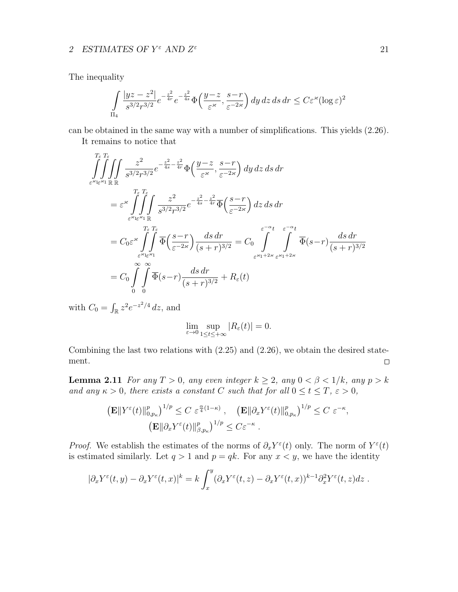The inequality

$$
\int_{\Pi_4} \frac{|yz - z^2|}{s^{3/2} r^{3/2}} e^{-\frac{z^2}{4r}} e^{-\frac{z^2}{4s}} \Phi\left(\frac{y - z}{\varepsilon^{\varkappa}}, \frac{s - r}{\varepsilon^{-2\varkappa}}\right) dy \, dz \, ds \, dr \le C \varepsilon^{\varkappa} (\log \varepsilon)^2
$$

can be obtained in the same way with a number of simplifications. This yields (2.26).

It remains to notice that

$$
\iint_{\varepsilon^{z} \leq \varepsilon^{z} \leq \varepsilon} \iint_{\varepsilon^{z} \leq \varepsilon^{z} \leq \varepsilon^{z}} \frac{z^{2}}{s^{3/2} r^{3/2}} e^{-\frac{z^{2}}{4s} - \frac{z^{2}}{4r}} \Phi\left(\frac{y-z}{\varepsilon^{z}}, \frac{s-r}{\varepsilon^{-2\varkappa}}\right) dy dz ds dr
$$
\n
$$
= \varepsilon^{z} \iint_{\varepsilon^{z} \leq \varepsilon^{z} \leq \varepsilon^{z} \leq \varepsilon^{z} \leq \varepsilon^{z} \leq \varepsilon^{z} \leq \varepsilon^{z} \leq \varepsilon^{z} \leq \varepsilon^{z} \leq \varepsilon^{z} \leq \varepsilon^{z} \leq \varepsilon^{z} \leq \varepsilon^{z} \leq \varepsilon^{z} \leq \varepsilon^{z} \leq \varepsilon^{z} \leq \varepsilon^{z} \leq \varepsilon^{z} \leq \varepsilon^{z} \leq \varepsilon^{z} \leq \varepsilon^{z} \leq \varepsilon^{z} \leq \varepsilon^{z} \leq \varepsilon^{z} \leq \varepsilon^{z} \leq \varepsilon^{z} \leq \varepsilon^{z} \leq \varepsilon^{z} \leq \varepsilon^{z} \leq \varepsilon^{z} \leq \varepsilon^{z} \leq \varepsilon^{z} \leq \varepsilon^{z} \leq \varepsilon^{z} \leq \varepsilon^{z} \leq \varepsilon^{z} \leq \varepsilon^{z} \leq \varepsilon^{z} \leq \varepsilon^{z} \leq \varepsilon^{z} \leq \varepsilon^{z} \leq \varepsilon^{z} \leq \varepsilon^{z} \leq \varepsilon^{z} \leq \varepsilon^{z} \leq \varepsilon^{z} \leq \varepsilon^{z} \leq \varepsilon^{z} \leq \varepsilon^{z} \leq \varepsilon^{z} \leq \varepsilon^{z} \leq \varepsilon^{z} \leq \varepsilon^{z} \leq \varepsilon^{z} \leq \varepsilon^{z} \leq \varepsilon^{z} \leq \varepsilon^{z} \leq \varepsilon^{z} \leq \varepsilon^{z} \leq \varepsilon
$$

with  $C_0 = \int_{\mathbb{R}} z^2 e^{-z^2/4} dz$ , and

$$
\lim_{\varepsilon \to 0} \sup_{1 \le t \le +\infty} |R_{\varepsilon}(t)| = 0.
$$

Combining the last two relations with (2.25) and (2.26), we obtain the desired statement.  $\hfill \square$ 

**Lemma 2.11** For any  $T > 0$ , any even integer  $k \ge 2$ , any  $0 < \beta < 1/k$ , any  $p > k$ and any  $\kappa > 0$ , there exists a constant C such that for all  $0 \le t \le T$ ,  $\varepsilon > 0$ ,

$$
\left(\mathbf{E} \|\mathbf{Y}^{\varepsilon}(t)\|_{0,p_{\kappa}}^p\right)^{1/p} \leq C \ \varepsilon^{\frac{\alpha}{4}(1-\kappa)}, \quad \left(\mathbf{E} \|\partial_x \mathbf{Y}^{\varepsilon}(t)\|_{0,p_{\kappa}}^p\right)^{1/p} \leq C \ \varepsilon^{-\kappa},
$$

$$
\left(\mathbf{E} \|\partial_x \mathbf{Y}^{\varepsilon}(t)\|_{\beta,p_{\kappa}}^p\right)^{1/p} \leq C \varepsilon^{-\kappa}.
$$

*Proof.* We establish the estimates of the norms of  $\partial_x Y^\varepsilon(t)$  only. The norm of  $Y^\varepsilon(t)$ is estimated similarly. Let  $q > 1$  and  $p = qk$ . For any  $x < y$ , we have the identity

$$
|\partial_x Y^{\varepsilon}(t,y) - \partial_x Y^{\varepsilon}(t,x)|^{k} = k \int_x^y (\partial_x Y^{\varepsilon}(t,z) - \partial_x Y^{\varepsilon}(t,x))^{k-1} \partial_x^2 Y^{\varepsilon}(t,z) dz.
$$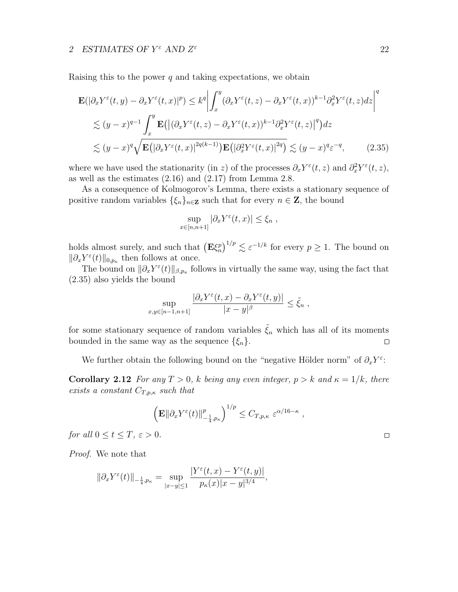Raising this to the power  $q$  and taking expectations, we obtain

$$
\mathbf{E}(|\partial_x Y^{\varepsilon}(t,y) - \partial_x Y^{\varepsilon}(t,x)|^{p}) \leq k^{q} \left| \int_x^y (\partial_x Y^{\varepsilon}(t,z) - \partial_x Y^{\varepsilon}(t,x))^{k-1} \partial_x^2 Y^{\varepsilon}(t,z) dz \right|^q
$$
  
\n
$$
\lesssim (y-x)^{q-1} \int_x^y \mathbf{E}(|(\partial_x Y^{\varepsilon}(t,z) - \partial_x Y^{\varepsilon}(t,x))^{k-1} \partial_x^2 Y^{\varepsilon}(t,z)|^{q}) dz
$$
  
\n
$$
\lesssim (y-x)^{q} \sqrt{\mathbf{E}(|\partial_x Y^{\varepsilon}(t,x)|^{2q(k-1)}) \mathbf{E}(|\partial_x^2 Y^{\varepsilon}(t,x)|^{2q})} \lesssim (y-x)^{q} \varepsilon^{-q}, \qquad (2.35)
$$

where we have used the stationarity (in z) of the processes  $\partial_x Y^{\varepsilon}(t, z)$  and  $\partial_x^2 Y^{\varepsilon}(t, z)$ , as well as the estimates  $(2.16)$  and  $(2.17)$  from Lemma 2.8.

As a consequence of Kolmogorov's Lemma, there exists a stationary sequence of positive random variables  $\{\xi_n\}_{n\in\mathbb{Z}}$  such that for every  $n \in \mathbb{Z}$ , the bound

$$
\sup_{x \in [n,n+1]} |\partial_x Y^{\varepsilon}(t,x)| \leq \xi_n ,
$$

holds almost surely, and such that  $(\mathbf{E}\xi_n^p)^{1/p} \lesssim \varepsilon^{-1/k}$  for every  $p \ge 1$ . The bound on  $\|\partial_x Y^{\varepsilon}(t)\|_{0,p_{\kappa}}$  then follows at once.

The bound on  $\|\partial_x Y^{\varepsilon}(t)\|_{\beta,p_{\kappa}}$  follows in virtually the same way, using the fact that (2.35) also yields the bound

$$
\sup_{x,y\in[n-1,n+1]}\frac{|\partial_x Y^{\varepsilon}(t,x)-\partial_x Y^{\varepsilon}(t,y)|}{|x-y|^{\beta}}\leq \tilde{\xi}_n,
$$

for some stationary sequence of random variables  $\tilde{\xi}_n$  which has all of its moments bounded in the same way as the sequence  $\{\xi_n\}.$  $\Box$ 

We further obtain the following bound on the "negative Hölder norm" of  $\partial_x Y^{\varepsilon}$ :

**Corollary 2.12** For any  $T > 0$ , k being any even integer,  $p > k$  and  $\kappa = 1/k$ , there exists a constant  $C_{T,p,\kappa}$  such that

$$
\left(\mathbf{E}\|\partial_x Y^{\varepsilon}(t)\|_{-\frac{1}{4},p_{\kappa}}^p\right)^{1/p} \leq C_{T,p,\kappa} \varepsilon^{\alpha/16-\kappa},
$$

for all  $0 \le t \le T$ ,  $\varepsilon > 0$ .

Proof. We note that

$$
\|\partial_x Y^{\varepsilon}(t)\|_{-\frac{1}{4},p_{\kappa}} = \sup_{|x-y|\leq 1} \frac{|Y^{\varepsilon}(t,x) - Y^{\varepsilon}(t,y)|}{p_{\kappa}(x)|x-y|^{3/4}},
$$

 $\hfill \square$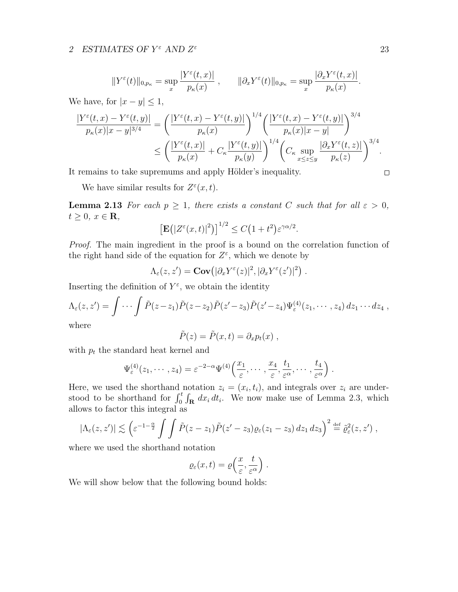$$
||Y^{\varepsilon}(t)||_{0,p_{\kappa}} = \sup_{x} \frac{|Y^{\varepsilon}(t,x)|}{p_{\kappa}(x)}, \qquad ||\partial_x Y^{\varepsilon}(t)||_{0,p_{\kappa}} = \sup_{x} \frac{|\partial_x Y^{\varepsilon}(t,x)|}{p_{\kappa}(x)}.
$$

We have, for  $|x - y| \leq 1$ ,

$$
\frac{|Y^{\varepsilon}(t,x)-Y^{\varepsilon}(t,y)|}{p_{\kappa}(x)|x-y|^{3/4}} = \left(\frac{|Y^{\varepsilon}(t,x)-Y^{\varepsilon}(t,y)|}{p_{\kappa}(x)}\right)^{1/4} \left(\frac{|Y^{\varepsilon}(t,x)-Y^{\varepsilon}(t,y)|}{p_{\kappa}(x)|x-y|}\right)^{3/4}
$$

$$
\leq \left(\frac{|Y^{\varepsilon}(t,x)|}{p_{\kappa}(x)}+C_{\kappa}\frac{|Y^{\varepsilon}(t,y)|}{p_{\kappa}(y)}\right)^{1/4} \left(C_{\kappa}\sup_{x\leq z\leq y}\frac{|\partial_{x}Y^{\varepsilon}(t,z)|}{p_{\kappa}(z)}\right)^{3/4}.
$$

It remains to take supremums and apply Hölder's inequality.

We have similar results for  $Z^{\varepsilon}(x,t)$ .

**Lemma 2.13** For each  $p \geq 1$ , there exists a constant C such that for all  $\varepsilon > 0$ ,  $t \geq 0, x \in \mathbf{R},$ 

$$
\left[\mathbf{E}\big(|Z^{\varepsilon}(x,t)|^2\big)\right]^{1/2} \le C\big(1+t^2\big)\varepsilon^{\gamma\alpha/2}.
$$

Proof. The main ingredient in the proof is a bound on the correlation function of the right hand side of the equation for  $Z^{\varepsilon}$ , which we denote by

 $\Lambda_{\varepsilon}(z,z') = \mathbf{Cov} \big( |\partial_x Y^{\varepsilon}(z)|^2, |\partial_x Y^{\varepsilon}(z')|^2 \big) \;.$ 

Inserting the definition of  $Y^{\varepsilon}$ , we obtain the identity

$$
\Lambda_{\varepsilon}(z,z')=\int\cdots\int\tilde{P}(z-z_1)\tilde{P}(z-z_2)\tilde{P}(z'-z_3)\tilde{P}(z'-z_4)\Psi_{\varepsilon}^{(4)}(z_1,\cdots,z_4)\,dz_1\cdots dz_4,
$$

where

$$
\tilde{P}(z) = \tilde{P}(x,t) = \partial_x p_t(x) ,
$$

with  $p_t$  the standard heat kernel and

$$
\Psi_{\varepsilon}^{(4)}(z_1,\cdots,z_4)=\varepsilon^{-2-\alpha}\Psi^{(4)}\left(\frac{x_1}{\varepsilon},\cdots,\frac{x_4}{\varepsilon},\frac{t_1}{\varepsilon^{\alpha}},\cdots,\frac{t_4}{\varepsilon^{\alpha}}\right).
$$

Here, we used the shorthand notation  $z_i = (x_i, t_i)$ , and integrals over  $z_i$  are understood to be shorthand for  $\int_0^t \int_{\mathbf{R}} dx_i dt_i$ . We now make use of Lemma 2.3, which allows to factor this integral as

$$
|\Lambda_{\varepsilon}(z,z')| \lesssim \left(\varepsilon^{-1-\frac{\alpha}{2}} \int \int \tilde{P}(z-z_1)\tilde{P}(z'-z_3)\varrho_{\varepsilon}(z_1-z_3)\,dz_1\,dz_3\right)^2 \stackrel{\text{def}}{=} \tilde{\varrho}_{\varepsilon}^2(z,z') ,
$$

where we used the shorthand notation

$$
\varrho_{\varepsilon}(x,t) = \varrho\left(\frac{x}{\varepsilon},\frac{t}{\varepsilon^{\alpha}}\right).
$$

We will show below that the following bound holds:

 $\Box$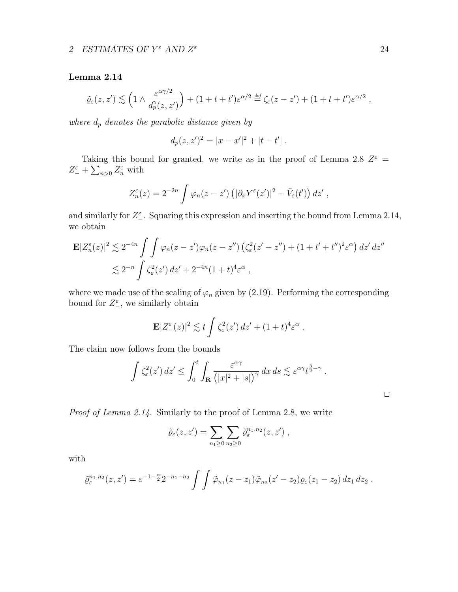#### Lemma 2.14

$$
\tilde{\varrho}_{\varepsilon}(z,z') \lesssim \left(1 \wedge \frac{\varepsilon^{\alpha \gamma/2}}{d_p^{\gamma}(z,z')}\right) + (1+t+t')\varepsilon^{\alpha/2} \stackrel{\text{def}}{=} \zeta_{\varepsilon}(z-z') + (1+t+t')\varepsilon^{\alpha/2},
$$

where  $d_p$  denotes the parabolic distance given by

$$
d_p(z, z')^2 = |x - x'|^2 + |t - t'|.
$$

Taking this bound for granted, we write as in the proof of Lemma 2.8  $Z^{\varepsilon}$  =  $Z_{-}^{\varepsilon} + \sum_{n>0} Z_{n}^{\varepsilon}$  with

$$
Z_n^{\varepsilon}(z) = 2^{-2n} \int \varphi_n(z-z') \left( |\partial_x Y^{\varepsilon}(z')|^2 - \bar{V}_{\varepsilon}(t') \right) dz',
$$

and similarly for  $Z_{-}^{\varepsilon}$ . Squaring this expression and inserting the bound from Lemma 2.14, we obtain

$$
\mathbf{E}|Z_n^{\varepsilon}(z)|^2 \lesssim 2^{-4n} \int \int \varphi_n(z-z')\varphi_n(z-z'') \left(\zeta_{\varepsilon}^2(z'-z'') + (1+t'+t'')^2 \varepsilon^{\alpha}\right) dz' dz''
$$
  

$$
\lesssim 2^{-n} \int \zeta_{\varepsilon}^2(z') dz' + 2^{-4n} (1+t)^4 \varepsilon^{\alpha} ,
$$

where we made use of the scaling of  $\varphi_n$  given by (2.19). Performing the corresponding bound for  $Z^{\varepsilon}$ , we similarly obtain

$$
\mathbf{E}|Z_{-}^{\varepsilon}(z)|^{2} \lesssim t \int \zeta_{\varepsilon}^{2}(z') dz' + (1+t)^{4} \varepsilon^{\alpha} .
$$

The claim now follows from the bounds

$$
\int \zeta_{\varepsilon}^{2}(z') dz' \leq \int_{0}^{t} \int_{\mathbf{R}} \frac{\varepsilon^{\alpha\gamma}}{\left(|x|^{2}+|s|\right)^{\gamma}} dx ds \lesssim \varepsilon^{\alpha\gamma} t^{\frac{3}{2}-\gamma} .
$$

Proof of Lemma 2.14. Similarly to the proof of Lemma 2.8, we write

$$
\tilde{\varrho}_{\varepsilon}(z,z') = \sum_{n_1 \geq 0} \sum_{n_2 \geq 0} \tilde{\varrho}_{\varepsilon}^{n_1,n_2}(z,z') ,
$$

with

$$
\tilde{\varrho}_{\varepsilon}^{n_1,n_2}(z,z') = \varepsilon^{-1-\frac{\alpha}{2}} 2^{-n_1-n_2} \int \int \tilde{\varphi}_{n_1}(z-z_1) \tilde{\varphi}_{n_2}(z'-z_2) \varrho_{\varepsilon}(z_1-z_2) dz_1 dz_2.
$$

 $\hfill \square$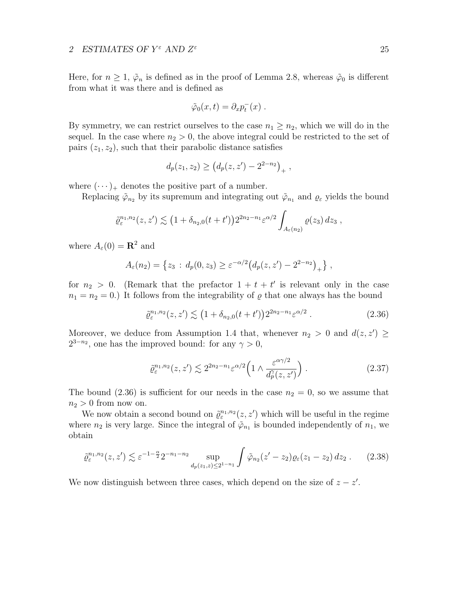Here, for  $n \geq 1$ ,  $\tilde{\varphi}_n$  is defined as in the proof of Lemma 2.8, whereas  $\tilde{\varphi}_0$  is different from what it was there and is defined as

$$
\tilde{\varphi}_0(x,t) = \partial_x p_t^-(x) \; .
$$

By symmetry, we can restrict ourselves to the case  $n_1 \geq n_2$ , which we will do in the sequel. In the case where  $n_2 > 0$ , the above integral could be restricted to the set of pairs  $(z_1, z_2)$ , such that their parabolic distance satisfies

$$
d_p(z_1, z_2) \ge (d_p(z, z') - 2^{2-n_2})_+,
$$

where  $(\cdots)_+$  denotes the positive part of a number.

Replacing  $\tilde{\varphi}_{n_2}$  by its supremum and integrating out  $\tilde{\varphi}_{n_1}$  and  $\varrho_{\varepsilon}$  yields the bound

$$
\tilde{\varrho}_{\varepsilon}^{n_1,n_2}(z,z') \lesssim \left(1+\delta_{n_2,0}(t+t')\right)2^{2n_2-n_1}\varepsilon^{\alpha/2} \int_{A_{\varepsilon}(n_2)} \varrho(z_3)\,dz_3,
$$

where  $A_{\varepsilon}(0) = \mathbf{R}^2$  and

$$
A_{\varepsilon}(n_2) = \{z_3 : d_p(0, z_3) \ge \varepsilon^{-\alpha/2} \big( d_p(z, z') - 2^{2-n_2} \big)_+ \},
$$

for  $n_2 > 0$ . (Remark that the prefactor  $1 + t + t'$  is relevant only in the case  $n_1 = n_2 = 0.$ ) It follows from the integrability of  $\varrho$  that one always has the bound

$$
\tilde{\varrho}_{\varepsilon}^{n_1, n_2}(z, z') \lesssim \left(1 + \delta_{n_2, 0}(t + t')\right) 2^{2n_2 - n_1} \varepsilon^{\alpha/2} \,. \tag{2.36}
$$

Moreover, we deduce from Assumption 1.4 that, whenever  $n_2 > 0$  and  $d(z, z') \geq$  $2^{3-n_2}$ , one has the improved bound: for any  $\gamma > 0$ ,

$$
\tilde{\varrho}_{\varepsilon}^{n_1, n_2}(z, z') \lesssim 2^{2n_2 - n_1} \varepsilon^{\alpha/2} \left( 1 \wedge \frac{\varepsilon^{\alpha \gamma/2}}{d_p^{\gamma}(z, z')} \right). \tag{2.37}
$$

The bound (2.36) is sufficient for our needs in the case  $n_2 = 0$ , so we assume that  $n_2 > 0$  from now on.

We now obtain a second bound on  $\tilde{\varrho}^{n_1,n_2}_{\varepsilon}(z,z')$  which will be useful in the regime where  $n_2$  is very large. Since the integral of  $\tilde{\varphi}_{n_1}$  is bounded independently of  $n_1$ , we obtain

$$
\tilde{\varrho}_{\varepsilon}^{n_1, n_2}(z, z') \lesssim \varepsilon^{-1 - \frac{\alpha}{2}} 2^{-n_1 - n_2} \sup_{d_p(z_1, z) \le 2^{1 - n_1}} \int \tilde{\varphi}_{n_2}(z' - z_2) \varrho_{\varepsilon}(z_1 - z_2) dz_2 . \tag{2.38}
$$

We now distinguish between three cases, which depend on the size of  $z - z'$ .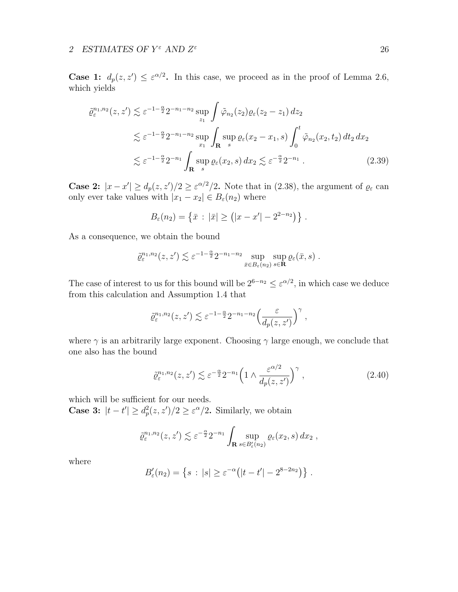**Case 1:**  $d_p(z, z') \leq \varepsilon^{\alpha/2}$ . In this case, we proceed as in the proof of Lemma 2.6, which yields

$$
\tilde{\varrho}_{\varepsilon}^{n_1, n_2}(z, z') \lesssim \varepsilon^{-1 - \frac{\alpha}{2}} 2^{-n_1 - n_2} \sup_{z_1} \int \tilde{\varphi}_{n_2}(z_2) \varrho_{\varepsilon}(z_2 - z_1) dz_2
$$
  

$$
\lesssim \varepsilon^{-1 - \frac{\alpha}{2}} 2^{-n_1 - n_2} \sup_{x_1} \int_{\mathbf{R}} \sup_{s} \varrho_{\varepsilon}(x_2 - x_1, s) \int_0^t \tilde{\varphi}_{n_2}(x_2, t_2) dt_2 dx_2
$$
  

$$
\lesssim \varepsilon^{-1 - \frac{\alpha}{2}} 2^{-n_1} \int_{\mathbf{R}} \sup_{s} \varrho_{\varepsilon}(x_2, s) dx_2 \lesssim \varepsilon^{-\frac{\alpha}{2}} 2^{-n_1} . \tag{2.39}
$$

**Case 2:**  $|x-x'| \geq d_p(z, z')/2 \geq \varepsilon^{\alpha/2}/2$ . Note that in (2.38), the argument of  $\varrho_{\varepsilon}$  can only ever take values with  $|x_1 - x_2| \in B_{\varepsilon}(n_2)$  where

$$
B_{\varepsilon}(n_2) = \{ \bar{x} : |\bar{x}| \geq (|x - x'| - 2^{2-n_2}) \}.
$$

As a consequence, we obtain the bound

$$
\tilde{\varrho}_{\varepsilon}^{n_1,n_2}(z,z') \lesssim \varepsilon^{-1-\frac{\alpha}{2}} 2^{-n_1-n_2} \sup_{\bar{x}\in B_{\varepsilon}(n_2)} \sup_{s\in\mathbf{R}} \varrho_{\varepsilon}(\bar{x},s) .
$$

The case of interest to us for this bound will be  $2^{6-n_2} \leq \varepsilon^{\alpha/2}$ , in which case we deduce from this calculation and Assumption 1.4 that

$$
\tilde{\varrho}_{\varepsilon}^{n_1,n_2}(z,z') \lesssim \varepsilon^{-1-\frac{\alpha}{2}} 2^{-n_1-n_2} \Big(\frac{\varepsilon}{d_p(z,z')}\Big)^\gamma ,
$$

where  $\gamma$  is an arbitrarily large exponent. Choosing  $\gamma$  large enough, we conclude that one also has the bound

$$
\tilde{\varrho}_{\varepsilon}^{n_1, n_2}(z, z') \lesssim \varepsilon^{-\frac{\alpha}{2}} 2^{-n_1} \left( 1 \wedge \frac{\varepsilon^{\alpha/2}}{d_p(z, z')} \right)^{\gamma}, \tag{2.40}
$$

which will be sufficient for our needs.

**Case 3:**  $|t-t'| \geq d_p^2(z, z')/2 \geq \varepsilon^{\alpha}/2$ . Similarly, we obtain

$$
\tilde{\varrho}_{\varepsilon}^{n_1,n_2}(z,z') \lesssim \varepsilon^{-\frac{\alpha}{2}} 2^{-n_1} \int_{\mathbf{R}} \sup_{s \in B'_{\varepsilon}(n_2)} \varrho_{\varepsilon}(x_2,s) \, dx_2 \;,
$$

where

$$
B'_{\varepsilon}(n_2) = \left\{ s \, : \, |s| \geq \varepsilon^{-\alpha} (|t-t'| - 2^{8-2n_2}) \right\} \, .
$$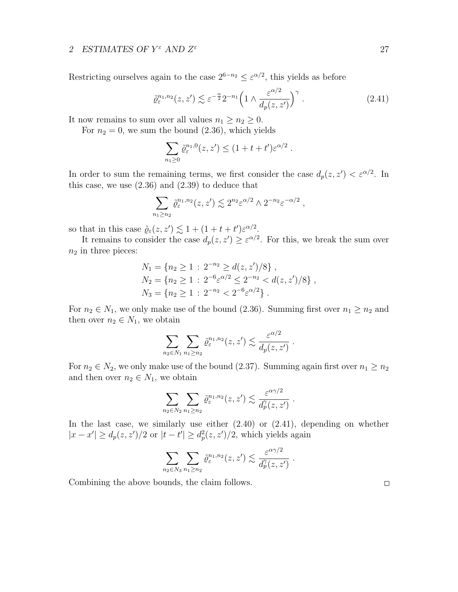Restricting ourselves again to the case  $2^{6-n_2} \leq \varepsilon^{\alpha/2}$ , this yields as before

$$
\tilde{\varrho}_{\varepsilon}^{n_1, n_2}(z, z') \lesssim \varepsilon^{-\frac{\alpha}{2}} 2^{-n_1} \left( 1 \wedge \frac{\varepsilon^{\alpha/2}}{d_p(z, z')} \right)^{\gamma} . \tag{2.41}
$$

It now remains to sum over all values  $n_1 \geq n_2 \geq 0$ .

For  $n_2 = 0$ , we sum the bound  $(2.36)$ , which yields

$$
\sum_{n_1\geq 0} \tilde{\varrho}_\varepsilon^{n_1,0}(z,z') \leq (1+t+t')\varepsilon^{\alpha/2} .
$$

In order to sum the remaining terms, we first consider the case  $d_p(z, z') < \varepsilon^{\alpha/2}$ . In this case, we use  $(2.36)$  and  $(2.39)$  to deduce that

$$
\sum_{n_1 \ge n_2} \tilde{\varrho}_\varepsilon^{n_1, n_2}(z, z') \lesssim 2^{n_2} \varepsilon^{\alpha/2} \wedge 2^{-n_2} \varepsilon^{-\alpha/2} ,
$$

so that in this case  $\tilde{\varrho}_{\varepsilon}(z, z') \lesssim 1 + (1 + t + t') \varepsilon^{\alpha/2}$ .

It remains to consider the case  $d_p(z, z') \geq \varepsilon^{\alpha/2}$ . For this, we break the sum over  $n_2$  in three pieces:

$$
N_1 = \{ n_2 \ge 1 : 2^{-n_2} \ge d(z, z')/8 \},
$$
  
\n
$$
N_2 = \{ n_2 \ge 1 : 2^{-6} \varepsilon^{\alpha/2} \le 2^{-n_2} < d(z, z')/8 \},
$$
  
\n
$$
N_3 = \{ n_2 \ge 1 : 2^{-n_2} < 2^{-6} \varepsilon^{\alpha/2} \}.
$$

For  $n_2 \in N_1$ , we only make use of the bound (2.36). Summing first over  $n_1 \geq n_2$  and then over  $n_2 \in N_1$ , we obtain

$$
\sum_{n_2 \in N_1} \sum_{n_1 \ge n_2} \tilde{\varrho}_\varepsilon^{n_1, n_2}(z, z') \lesssim \frac{\varepsilon^{\alpha/2}}{d_p(z, z')}.
$$

For  $n_2 \in N_2$ , we only make use of the bound (2.37). Summing again first over  $n_1 \geq n_2$ and then over  $n_2 \in N_1$ , we obtain

$$
\sum_{n_2 \in N_2} \sum_{n_1 \ge n_2} \tilde{\varrho}^{n_1, n_2}_{\varepsilon}(z, z') \lesssim \frac{\varepsilon^{\alpha \gamma/2}}{d_p^{\gamma}(z, z')}.
$$

In the last case, we similarly use either (2.40) or (2.41), depending on whether  $|x - x'| \ge d_p(z, z')/2$  or  $|t - t'| \ge d_p^2(z, z')/2$ , which yields again

$$
\sum_{n_2 \in N_3} \sum_{n_1 \ge n_2} \tilde{\varrho}^{n_1,n_2}_{\varepsilon}(z,z') \lesssim \frac{\varepsilon^{\alpha \gamma/2}}{d^{\gamma}_{p}(z,z')}.
$$

Combining the above bounds, the claim follows.

 $\Box$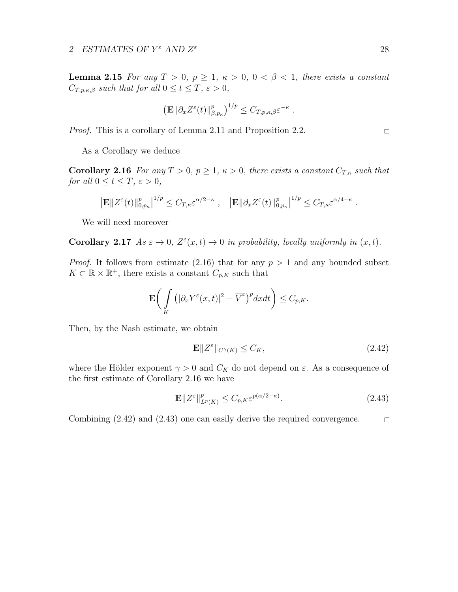**Lemma 2.15** For any  $T > 0$ ,  $p \ge 1$ ,  $\kappa > 0$ ,  $0 < \beta < 1$ , there exists a constant  $C_{T,p,\kappa,\beta}$  such that for all  $0 \leq t \leq T, \varepsilon > 0$ ,

$$
\left(\mathbf{E}\|\partial_x Z^{\varepsilon}(t)\|_{\beta,p_{\kappa}}^p\right)^{1/p} \leq C_{T,p,\kappa,\beta} \varepsilon^{-\kappa}.
$$

Proof. This is a corollary of Lemma 2.11 and Proposition 2.2.

As a Corollary we deduce

**Corollary 2.16** For any  $T > 0$ ,  $p \ge 1$ ,  $\kappa > 0$ , there exists a constant  $C_{T,\kappa}$  such that for all  $0 \le t \le T$ ,  $\varepsilon > 0$ ,

$$
\left| \mathbf{E} \Vert Z^{\varepsilon}(t) \Vert_{0,p_{\kappa}}^p \right|^{1/p} \leq C_{T,\kappa} \varepsilon^{\alpha/2-\kappa}, \quad \left| \mathbf{E} \Vert \partial_x Z^{\varepsilon}(t) \Vert_{0,p_{\kappa}}^p \right|^{1/p} \leq C_{T,\kappa} \varepsilon^{\alpha/4-\kappa}
$$

We will need moreover

Corollary 2.17  $As \varepsilon \to 0$ ,  $Z^{\varepsilon}(x,t) \to 0$  in probability, locally uniformly in  $(x,t)$ .

*Proof.* It follows from estimate (2.16) that for any  $p > 1$  and any bounded subset  $K \subset \mathbb{R} \times \mathbb{R}^+$ , there exists a constant  $C_{p,K}$  such that

$$
\mathbf{E}\bigg(\int\limits_K\big(|\partial_xY^\varepsilon(x,t)|^2-\overline{V}^\varepsilon\big)^p dxdt\bigg)\leq C_{p,K}.
$$

Then, by the Nash estimate, we obtain

$$
\mathbf{E} \| Z^{\varepsilon} \|_{C^{\gamma}(K)} \leq C_K,\tag{2.42}
$$

where the Hölder exponent  $\gamma > 0$  and  $C_K$  do not depend on  $\varepsilon$ . As a consequence of the first estimate of Corollary 2.16 we have

$$
\mathbf{E} \| Z^{\varepsilon} \|_{L^p(K)}^p \le C_{p,K} \varepsilon^{p(\alpha/2 - \kappa)}.
$$
\n(2.43)

Combining (2.42) and (2.43) one can easily derive the required convergence. $\hfill \square$ 

 $\hfill \square$ 

.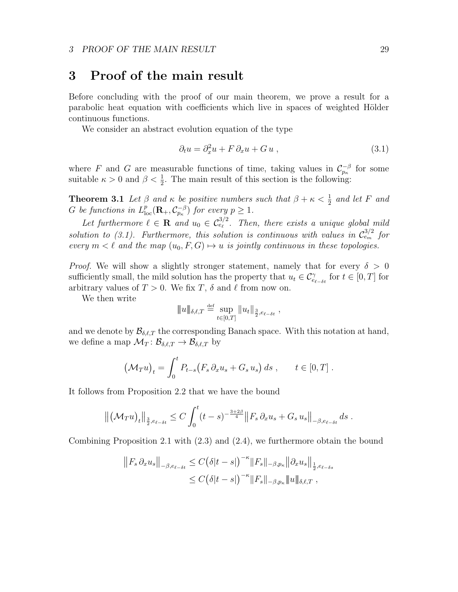# 3 Proof of the main result

Before concluding with the proof of our main theorem, we prove a result for a parabolic heat equation with coefficients which live in spaces of weighted Hölder continuous functions.

We consider an abstract evolution equation of the type

$$
\partial_t u = \partial_x^2 u + F \, \partial_x u + G u \,, \tag{3.1}
$$

where F and G are measurable functions of time, taking values in  $\mathcal{C}_{p_{\kappa}}^{-\beta}$  for some suitable  $\kappa > 0$  and  $\beta < \frac{1}{2}$ . The main result of this section is the following:

**Theorem 3.1** Let  $\beta$  and  $\kappa$  be positive numbers such that  $\beta + \kappa < \frac{1}{2}$  and let F and G be functions in  $L_{\text{loc}}^p(\mathbf{R}_+,\mathcal{C}_{p_\kappa}^{-\beta})$  for every  $p\geq 1$ .

Let furthermore  $\ell \in \mathbf{R}$  and  $u_0 \in C_{e_{\ell}}^{3/2}$ . Then, there exists a unique global mild solution to (3.1). Furthermore, this solution is continuous with values in  $\mathcal{C}_{e_m}^{3/2}$  for every  $m < \ell$  and the map  $(u_0, F, G) \mapsto u$  is jointly continuous in these topologies.

*Proof.* We will show a slightly stronger statement, namely that for every  $\delta > 0$ sufficiently small, the mild solution has the property that  $u_t \in \mathcal{C}^{\gamma}_{e_{\ell-\delta t}}$  for  $t \in [0, T]$  for arbitrary values of  $T > 0$ . We fix T,  $\delta$  and  $\ell$  from now on.

We then write

$$
\|u\|_{\delta,\ell,T} \stackrel{\text{def}}{=} \sup_{t\in[0,T]} \|u_t\|_{\frac{3}{2},e_{\ell-\delta t}},
$$

and we denote by  $\mathcal{B}_{\delta,\ell,T}$  the corresponding Banach space. With this notation at hand, we define a map  $\mathcal{M}_T : \mathcal{B}_{\delta,\ell,T} \to \mathcal{B}_{\delta,\ell,T}$  by

$$
\left(\mathcal{M}_T u\right)_t = \int_0^t P_{t-s}\left(F_s \partial_x u_s + G_s u_s\right) ds , \qquad t \in [0, T] .
$$

It follows from Proposition 2.2 that we have the bound

$$
\left\| \left( \mathcal{M}_T u \right)_t \right\|_{\frac{3}{2}, e_{\ell-\delta t}} \leq C \int_0^t (t-s)^{-\frac{3+2\beta}{4}} \left\| F_s \, \partial_x u_s + G_s \, u_s \right\|_{-\beta, e_{\ell-\delta t}} ds \; .
$$

Combining Proposition 2.1 with (2.3) and (2.4), we furthermore obtain the bound

$$
||F_s \partial_x u_s||_{-\beta, e_{\ell-\delta t}} \leq C(\delta |t-s|)^{-\kappa} ||F_s||_{-\beta, p_{\kappa}} ||\partial_x u_s||_{\frac{1}{2}, e_{\ell-\delta s}}\leq C(\delta |t-s|)^{-\kappa} ||F_s||_{-\beta, p_{\kappa}} ||u||_{\delta, \ell, T},
$$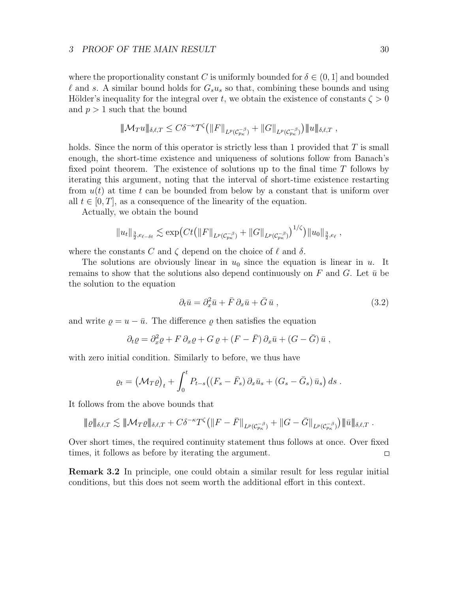#### 3 PROOF OF THE MAIN RESULT 30

where the proportionality constant C is uniformly bounded for  $\delta \in (0,1]$  and bounded  $\ell$  and s. A similar bound holds for  $G_s u_s$  so that, combining these bounds and using Hölder's inequality for the integral over t, we obtain the existence of constants  $\zeta > 0$ and  $p > 1$  such that the bound

$$
\|\mathcal{M}_T u\|_{\delta,\ell,T} \leq C\delta^{-\kappa} T^{\zeta} \big( \|F\|_{L^p(\mathcal{C}_{p\kappa}^{-\beta})} + \|G\|_{L^p(\mathcal{C}_{p\kappa}^{-\beta})} \big) \|u\|_{\delta,\ell,T} ,
$$

holds. Since the norm of this operator is strictly less than 1 provided that  $T$  is small enough, the short-time existence and uniqueness of solutions follow from Banach's fixed point theorem. The existence of solutions up to the final time  $T$  follows by iterating this argument, noting that the interval of short-time existence restarting from  $u(t)$  at time t can be bounded from below by a constant that is uniform over all  $t \in [0, T]$ , as a consequence of the linearity of the equation.

Actually, we obtain the bound

$$
||u_t||_{\frac{3}{2},e_{\ell-\delta t}} \lesssim \exp\big(Ct\big(||F||_{L^p(\mathcal{C}_{p_{\kappa}}^{-\beta})}+||G||_{L^p(\mathcal{C}_{p_{\kappa}}^{-\beta})}\big)^{1/\zeta}\big)||u_0||_{\frac{3}{2},e_{\ell}},
$$

where the constants C and  $\zeta$  depend on the choice of  $\ell$  and  $\delta$ .

The solutions are obviously linear in  $u_0$  since the equation is linear in u. It remains to show that the solutions also depend continuously on F and G. Let  $\bar{u}$  be the solution to the equation

$$
\partial_t \bar{u} = \partial_x^2 \bar{u} + \bar{F} \partial_x \bar{u} + \bar{G} \bar{u} , \qquad (3.2)
$$

and write  $\rho = u - \bar{u}$ . The difference  $\rho$  then satisfies the equation

$$
\partial_t \varrho = \partial_x^2 \varrho + F \, \partial_x \varrho + G \, \varrho + (F - \bar{F}) \, \partial_x \bar{u} + (G - \bar{G}) \, \bar{u} \ ,
$$

with zero initial condition. Similarly to before, we thus have

$$
\varrho_t = \left(\mathcal{M}_T\varrho\right)_t + \int_0^t P_{t-s}\left(\left(F_s - \bar{F}_s\right)\partial_x\bar{u}_s + \left(G_s - \bar{G}_s\right)\bar{u}_s\right)ds.
$$

It follows from the above bounds that

$$
\|\varrho\|_{\delta,\ell,T} \lesssim \|\mathcal{M}_T\varrho\|_{\delta,\ell,T} + C\delta^{-\kappa}T^{\zeta}\big(\|F-\bar{F}\|_{L^p(\mathcal{C}_{p\kappa}^{-\beta})} + \|G-\bar{G}\|_{L^p(\mathcal{C}_{p\kappa}^{-\beta})}\big)\|\bar{u}\|_{\delta,\ell,T}.
$$

Over short times, the required continuity statement thus follows at once. Over fixed times, it follows as before by iterating the argument.  $\Box$ 

Remark 3.2 In principle, one could obtain a similar result for less regular initial conditions, but this does not seem worth the additional effort in this context.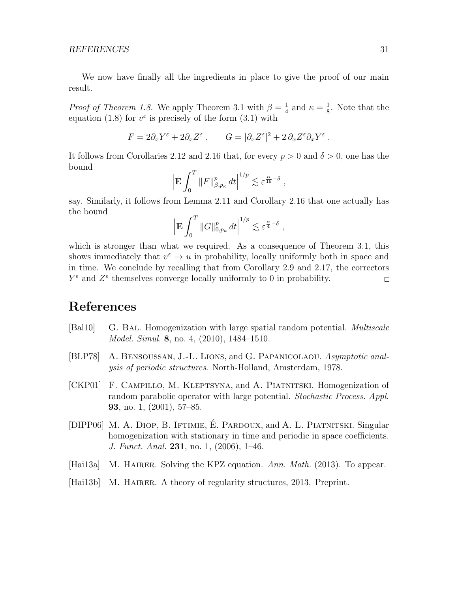We now have finally all the ingredients in place to give the proof of our main result.

*Proof of Theorem 1.8.* We apply Theorem 3.1 with  $\beta = \frac{1}{4}$  $\frac{1}{4}$  and  $\kappa = \frac{1}{8}$  $\frac{1}{8}$ . Note that the equation (1.8) for  $v^{\varepsilon}$  is precisely of the form (3.1) with

$$
F = 2\partial_x Y^{\varepsilon} + 2\partial_x Z^{\varepsilon} , \qquad G = |\partial_x Z^{\varepsilon}|^2 + 2\partial_x Z^{\varepsilon} \partial_x Y^{\varepsilon} .
$$

It follows from Corollaries 2.12 and 2.16 that, for every  $p > 0$  and  $\delta > 0$ , one has the bound

$$
\left| \mathbf{E} \int_0^T \|F\|_{\beta, p_\kappa}^p \, dt \right|^{1/p} \lesssim \varepsilon^{\frac{\alpha}{16} - \delta} \;,
$$

say. Similarly, it follows from Lemma 2.11 and Corollary 2.16 that one actually has the bound

$$
\left| \mathbf{E} \int_0^T \| G \|_{0,p_\kappa}^p \, dt \right|^{1/p} \lesssim \varepsilon^{\frac{\alpha}{4} - \delta} \;,
$$

which is stronger than what we required. As a consequence of Theorem 3.1, this shows immediately that  $v^{\epsilon} \to u$  in probability, locally uniformly both in space and in time. We conclude by recalling that from Corollary 2.9 and 2.17, the correctors  $Y^{\varepsilon}$  and  $Z^{\varepsilon}$  themselves converge locally uniformly to 0 in probability.  $\Box$ 

# References

- [Bal10] G. BAL. Homogenization with large spatial random potential. *Multiscale* Model. Simul. 8, no. 4, (2010), 1484–1510.
- [BLP78] A. Bensoussan, J.-L. Lions, and G. Papanicolaou. Asymptotic analysis of periodic structures. North-Holland, Amsterdam, 1978.
- [CKP01] F. Campillo, M. Kleptsyna, and A. Piatnitski. Homogenization of random parabolic operator with large potential. Stochastic Process. Appl. 93, no. 1, (2001), 57–85.
- [DIPP06] M. A. DIOP, B. IFTIMIE, É. PARDOUX, and A. L. PIATNITSKI. Singular homogenization with stationary in time and periodic in space coefficients. J. Funct. Anal. 231, no. 1, (2006), 1–46.
- [Hai13a] M. HAIRER. Solving the KPZ equation. Ann. Math. (2013). To appear.
- [Hai13b] M. HAIRER. A theory of regularity structures, 2013. Preprint.